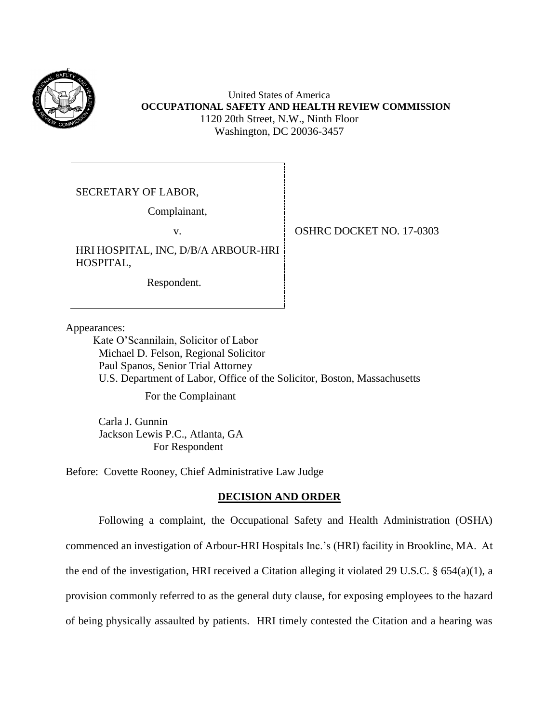

United States of America **OCCUPATIONAL SAFETY AND HEALTH REVIEW COMMISSION** 1120 20th Street, N.W., Ninth Floor Washington, DC 20036-3457

SECRETARY OF LABOR,

Complainant,

HRI HOSPITAL, INC, D/B/A ARBOUR-HRI HOSPITAL,

Respondent.

v. **COSHRC DOCKET NO. 17-0303** 

Appearances:

 Kate O'Scannilain, Solicitor of Labor Michael D. Felson, Regional Solicitor Paul Spanos, Senior Trial Attorney U.S. Department of Labor, Office of the Solicitor, Boston, Massachusetts

For the Complainant

Carla J. Gunnin Jackson Lewis P.C., Atlanta, GA For Respondent

Before: Covette Rooney, Chief Administrative Law Judge

# **DECISION AND ORDER**

Following a complaint, the Occupational Safety and Health Administration (OSHA) commenced an investigation of Arbour-HRI Hospitals Inc.'s (HRI) facility in Brookline, MA. At the end of the investigation, HRI received a Citation alleging it violated 29 U.S.C. § 654(a)(1), a provision commonly referred to as the general duty clause, for exposing employees to the hazard of being physically assaulted by patients. HRI timely contested the Citation and a hearing was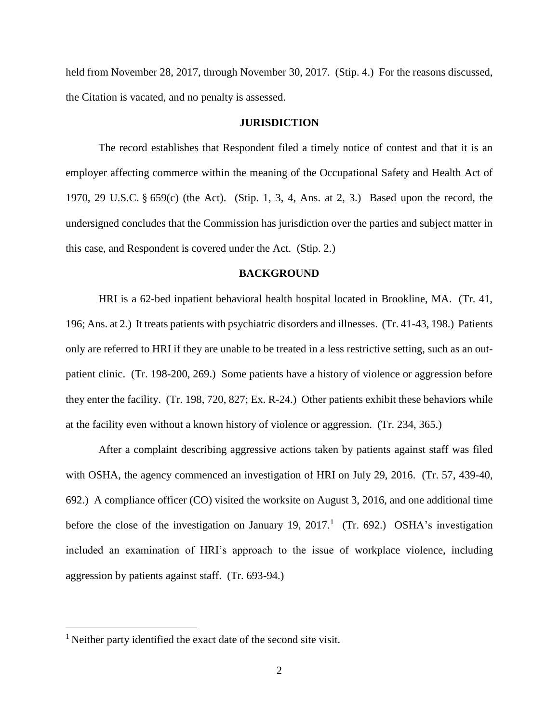held from November 28, 2017, through November 30, 2017. (Stip. 4.) For the reasons discussed, the Citation is vacated, and no penalty is assessed.

#### **JURISDICTION**

The record establishes that Respondent filed a timely notice of contest and that it is an employer affecting commerce within the meaning of the Occupational Safety and Health Act of 1970, 29 U.S.C. § 659(c) (the Act). (Stip. 1, 3, 4, Ans. at 2, 3.) Based upon the record, the undersigned concludes that the Commission has jurisdiction over the parties and subject matter in this case, and Respondent is covered under the Act. (Stip. 2.)

#### **BACKGROUND**

HRI is a 62-bed inpatient behavioral health hospital located in Brookline, MA. (Tr. 41, 196; Ans. at 2.) It treats patients with psychiatric disorders and illnesses. (Tr. 41-43, 198.) Patients only are referred to HRI if they are unable to be treated in a less restrictive setting, such as an outpatient clinic. (Tr. 198-200, 269.) Some patients have a history of violence or aggression before they enter the facility. (Tr. 198, 720, 827; Ex. R-24.) Other patients exhibit these behaviors while at the facility even without a known history of violence or aggression. (Tr. 234, 365.)

After a complaint describing aggressive actions taken by patients against staff was filed with OSHA, the agency commenced an investigation of HRI on July 29, 2016. (Tr. 57, 439-40, 692.) A compliance officer (CO) visited the worksite on August 3, 2016, and one additional time before the close of the investigation on January 19,  $2017<sup>1</sup>$  (Tr. 692.) OSHA's investigation included an examination of HRI's approach to the issue of workplace violence, including aggression by patients against staff. (Tr. 693-94.)

<sup>&</sup>lt;sup>1</sup> Neither party identified the exact date of the second site visit.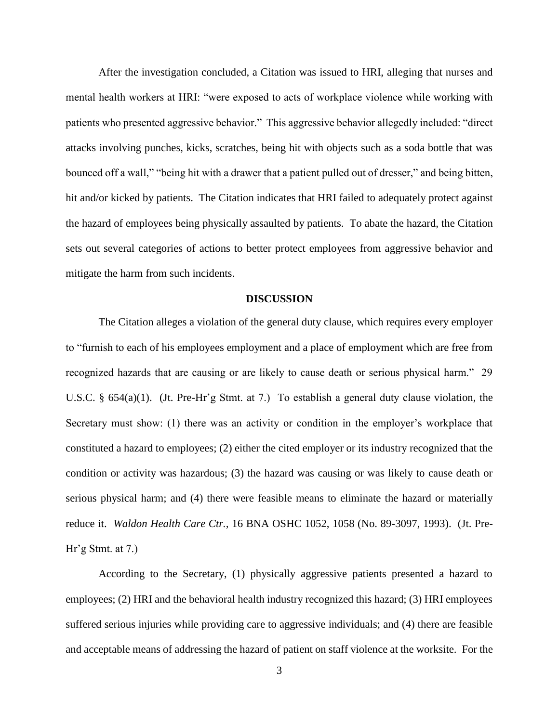After the investigation concluded, a Citation was issued to HRI, alleging that nurses and mental health workers at HRI: "were exposed to acts of workplace violence while working with patients who presented aggressive behavior." This aggressive behavior allegedly included: "direct attacks involving punches, kicks, scratches, being hit with objects such as a soda bottle that was bounced off a wall," "being hit with a drawer that a patient pulled out of dresser," and being bitten, hit and/or kicked by patients. The Citation indicates that HRI failed to adequately protect against the hazard of employees being physically assaulted by patients. To abate the hazard, the Citation sets out several categories of actions to better protect employees from aggressive behavior and mitigate the harm from such incidents.

#### **DISCUSSION**

The Citation alleges a violation of the general duty clause, which requires every employer to "furnish to each of his employees employment and a place of employment which are free from recognized hazards that are causing or are likely to cause death or serious physical harm." 29 U.S.C. § 654(a)(1). (Jt. Pre-Hr'g Stmt. at 7.) To establish a general duty clause violation, the Secretary must show: (1) there was an activity or condition in the employer's workplace that constituted a hazard to employees; (2) either the cited employer or its industry recognized that the condition or activity was hazardous; (3) the hazard was causing or was likely to cause death or serious physical harm; and (4) there were feasible means to eliminate the hazard or materially reduce it. *Waldon Health Care Ctr.,* 16 BNA OSHC 1052, 1058 (No. 89-3097, 1993). (Jt. Pre- $Hr'g Stmt.$  at 7.)

According to the Secretary, (1) physically aggressive patients presented a hazard to employees; (2) HRI and the behavioral health industry recognized this hazard; (3) HRI employees suffered serious injuries while providing care to aggressive individuals; and (4) there are feasible and acceptable means of addressing the hazard of patient on staff violence at the worksite. For the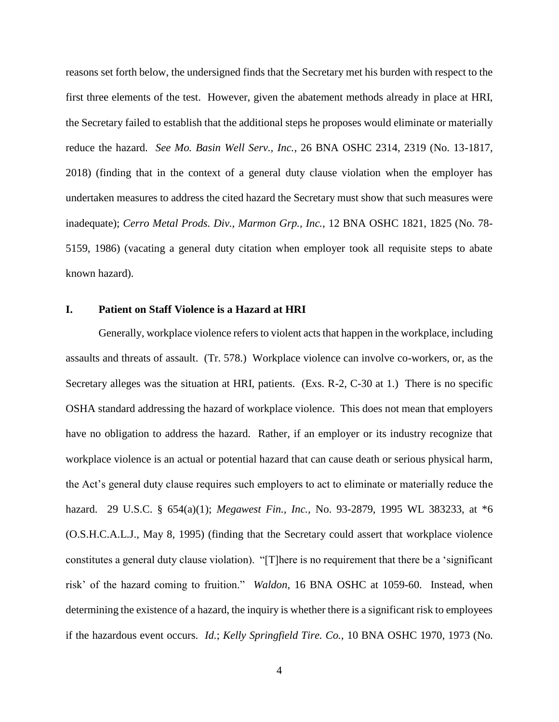reasons set forth below, the undersigned finds that the Secretary met his burden with respect to the first three elements of the test. However, given the abatement methods already in place at HRI, the Secretary failed to establish that the additional steps he proposes would eliminate or materially reduce the hazard. *See Mo. Basin Well Serv., Inc.*, 26 BNA OSHC 2314, 2319 (No. 13-1817, 2018) (finding that in the context of a general duty clause violation when the employer has undertaken measures to address the cited hazard the Secretary must show that such measures were inadequate); *Cerro Metal Prods. Div., Marmon Grp., Inc.*, 12 BNA OSHC 1821, 1825 (No. 78- 5159, 1986) (vacating a general duty citation when employer took all requisite steps to abate known hazard).

#### **I. Patient on Staff Violence is a Hazard at HRI**

Generally, workplace violence refers to violent acts that happen in the workplace, including assaults and threats of assault. (Tr. 578.) Workplace violence can involve co-workers, or, as the Secretary alleges was the situation at HRI, patients. (Exs. R-2, C-30 at 1.) There is no specific OSHA standard addressing the hazard of workplace violence. This does not mean that employers have no obligation to address the hazard. Rather, if an employer or its industry recognize that workplace violence is an actual or potential hazard that can cause death or serious physical harm, the Act's general duty clause requires such employers to act to eliminate or materially reduce the hazard. 29 U.S.C. § 654(a)(1); *Megawest Fin., Inc.,* No. 93-2879, 1995 WL 383233, at \*6 (O.S.H.C.A.L.J., May 8, 1995) (finding that the Secretary could assert that workplace violence constitutes a general duty clause violation). "[T]here is no requirement that there be a 'significant risk' of the hazard coming to fruition." *Waldon,* 16 BNA OSHC at 1059-60. Instead, when determining the existence of a hazard, the inquiry is whether there is a significant risk to employees if the hazardous event occurs. *Id.*; *Kelly Springfield Tire. Co.,* 10 BNA OSHC 1970, 1973 (No.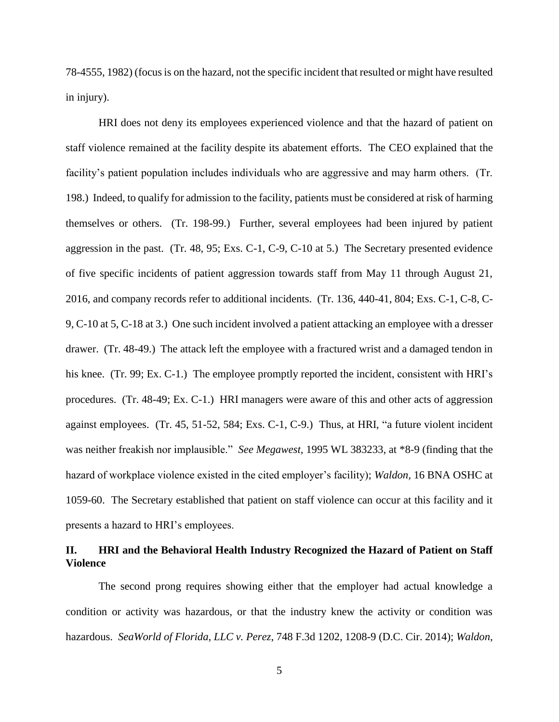78-4555, 1982) (focus is on the hazard, not the specific incident that resulted or might have resulted in injury).

HRI does not deny its employees experienced violence and that the hazard of patient on staff violence remained at the facility despite its abatement efforts. The CEO explained that the facility's patient population includes individuals who are aggressive and may harm others. (Tr. 198.) Indeed, to qualify for admission to the facility, patients must be considered at risk of harming themselves or others. (Tr. 198-99.) Further, several employees had been injured by patient aggression in the past. (Tr. 48, 95; Exs. C-1, C-9, C-10 at 5.) The Secretary presented evidence of five specific incidents of patient aggression towards staff from May 11 through August 21, 2016, and company records refer to additional incidents. (Tr. 136, 440-41, 804; Exs. C-1, C-8, C-9, C-10 at 5, C-18 at 3.) One such incident involved a patient attacking an employee with a dresser drawer. (Tr. 48-49.) The attack left the employee with a fractured wrist and a damaged tendon in his knee. (Tr. 99; Ex. C-1.) The employee promptly reported the incident, consistent with HRI's procedures. (Tr. 48-49; Ex. C-1.) HRI managers were aware of this and other acts of aggression against employees. (Tr. 45, 51-52, 584; Exs. C-1, C-9.) Thus, at HRI, "a future violent incident was neither freakish nor implausible." *See Megawest,* 1995 WL 383233, at \*8-9 (finding that the hazard of workplace violence existed in the cited employer's facility); *Waldon,* 16 BNA OSHC at 1059-60. The Secretary established that patient on staff violence can occur at this facility and it presents a hazard to HRI's employees.

# **II. HRI and the Behavioral Health Industry Recognized the Hazard of Patient on Staff Violence**

The second prong requires showing either that the employer had actual knowledge a condition or activity was hazardous, or that the industry knew the activity or condition was hazardous. *SeaWorld of Florida, LLC v. Perez*, 748 F.3d 1202, 1208-9 (D.C. Cir. 2014); *Waldon*,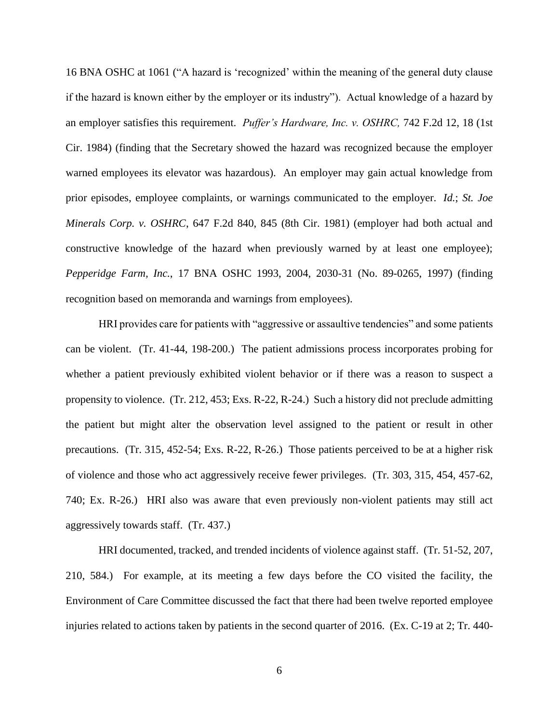16 BNA OSHC at 1061 ("A hazard is 'recognized' within the meaning of the general duty clause if the hazard is known either by the employer or its industry"). Actual knowledge of a hazard by an employer satisfies this requirement. *Puffer's Hardware, Inc. v. OSHRC,* 742 F.2d 12, 18 (1st Cir. 1984) (finding that the Secretary showed the hazard was recognized because the employer warned employees its elevator was hazardous). An employer may gain actual knowledge from prior episodes, employee complaints, or warnings communicated to the employer. *Id.*; *St. Joe Minerals Corp. v. OSHRC*, 647 F.2d 840, 845 (8th Cir. 1981) (employer had both actual and constructive knowledge of the hazard when previously warned by at least one employee); *Pepperidge Farm, Inc.*, 17 BNA OSHC 1993, 2004, 2030-31 (No. 89-0265, 1997) (finding recognition based on memoranda and warnings from employees).

HRI provides care for patients with "aggressive or assaultive tendencies" and some patients can be violent. (Tr. 41-44, 198-200.) The patient admissions process incorporates probing for whether a patient previously exhibited violent behavior or if there was a reason to suspect a propensity to violence. (Tr. 212, 453; Exs. R-22, R-24.) Such a history did not preclude admitting the patient but might alter the observation level assigned to the patient or result in other precautions. (Tr. 315, 452-54; Exs. R-22, R-26.) Those patients perceived to be at a higher risk of violence and those who act aggressively receive fewer privileges. (Tr. 303, 315, 454, 457-62, 740; Ex. R-26.) HRI also was aware that even previously non-violent patients may still act aggressively towards staff. (Tr. 437.)

HRI documented, tracked, and trended incidents of violence against staff. (Tr. 51-52, 207, 210, 584.) For example, at its meeting a few days before the CO visited the facility, the Environment of Care Committee discussed the fact that there had been twelve reported employee injuries related to actions taken by patients in the second quarter of 2016. (Ex. C-19 at 2; Tr. 440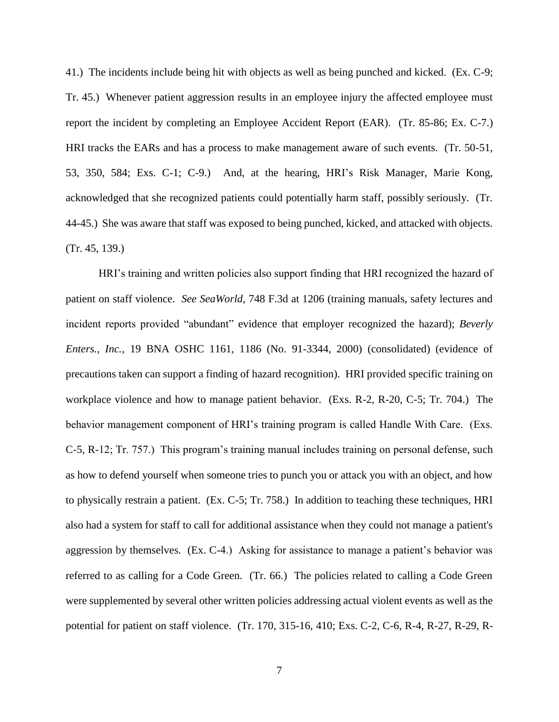41.) The incidents include being hit with objects as well as being punched and kicked. (Ex. C-9; Tr. 45.) Whenever patient aggression results in an employee injury the affected employee must report the incident by completing an Employee Accident Report (EAR). (Tr. 85-86; Ex. C-7.) HRI tracks the EARs and has a process to make management aware of such events. (Tr. 50-51, 53, 350, 584; Exs. C-1; C-9.) And, at the hearing, HRI's Risk Manager, Marie Kong, acknowledged that she recognized patients could potentially harm staff, possibly seriously. (Tr. 44-45.) She was aware that staff was exposed to being punched, kicked, and attacked with objects. (Tr. 45, 139.)

HRI's training and written policies also support finding that HRI recognized the hazard of patient on staff violence. *See SeaWorld*, 748 F.3d at 1206 (training manuals, safety lectures and incident reports provided "abundant" evidence that employer recognized the hazard); *Beverly Enters., Inc.,* 19 BNA OSHC 1161, 1186 (No. 91-3344, 2000) (consolidated) (evidence of precautions taken can support a finding of hazard recognition). HRI provided specific training on workplace violence and how to manage patient behavior. (Exs. R-2, R-20, C-5; Tr. 704.) The behavior management component of HRI's training program is called Handle With Care. (Exs. C-5, R-12; Tr. 757.) This program's training manual includes training on personal defense, such as how to defend yourself when someone tries to punch you or attack you with an object, and how to physically restrain a patient. (Ex. C-5; Tr. 758.) In addition to teaching these techniques, HRI also had a system for staff to call for additional assistance when they could not manage a patient's aggression by themselves. (Ex. C-4.) Asking for assistance to manage a patient's behavior was referred to as calling for a Code Green. (Tr. 66.) The policies related to calling a Code Green were supplemented by several other written policies addressing actual violent events as well as the potential for patient on staff violence. (Tr. 170, 315-16, 410; Exs. C-2, C-6, R-4, R-27, R-29, R-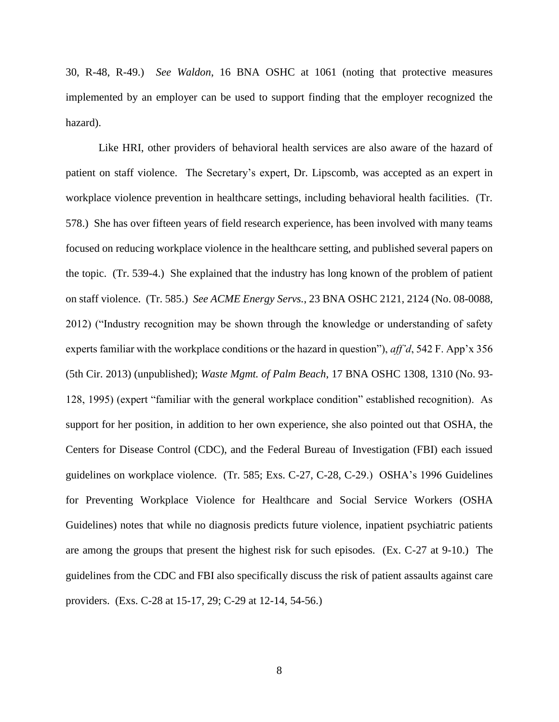30, R-48, R-49.) *See Waldon*, 16 BNA OSHC at 1061 (noting that protective measures implemented by an employer can be used to support finding that the employer recognized the hazard).

Like HRI, other providers of behavioral health services are also aware of the hazard of patient on staff violence. The Secretary's expert, Dr. Lipscomb, was accepted as an expert in workplace violence prevention in healthcare settings, including behavioral health facilities. (Tr. 578.) She has over fifteen years of field research experience, has been involved with many teams focused on reducing workplace violence in the healthcare setting, and published several papers on the topic. (Tr. 539-4.) She explained that the industry has long known of the problem of patient on staff violence. (Tr. 585.) *See ACME Energy Servs.*, 23 BNA OSHC 2121, 2124 (No. 08-0088, 2012) ("Industry recognition may be shown through the knowledge or understanding of safety experts familiar with the workplace conditions or the hazard in question"), *aff'd*, 542 F. App'x 356 (5th Cir. 2013) (unpublished); *Waste Mgmt. of Palm Beach*, 17 BNA OSHC 1308, 1310 (No. 93- 128, 1995) (expert "familiar with the general workplace condition" established recognition). As support for her position, in addition to her own experience, she also pointed out that OSHA, the Centers for Disease Control (CDC), and the Federal Bureau of Investigation (FBI) each issued guidelines on workplace violence. (Tr. 585; Exs. C-27, C-28, C-29.) OSHA's 1996 Guidelines for Preventing Workplace Violence for Healthcare and Social Service Workers (OSHA Guidelines) notes that while no diagnosis predicts future violence, inpatient psychiatric patients are among the groups that present the highest risk for such episodes. (Ex. C-27 at 9-10.) The guidelines from the CDC and FBI also specifically discuss the risk of patient assaults against care providers. (Exs. C-28 at 15-17, 29; C-29 at 12-14, 54-56.)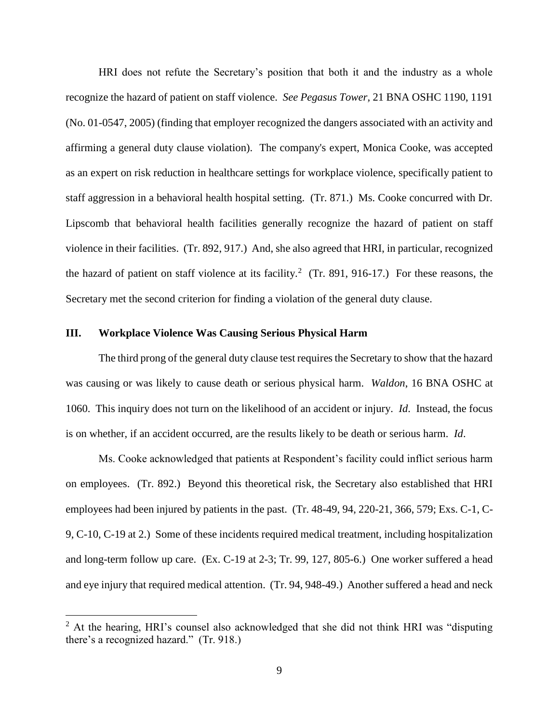HRI does not refute the Secretary's position that both it and the industry as a whole recognize the hazard of patient on staff violence. *See Pegasus Tower,* 21 BNA OSHC 1190, 1191 (No. 01-0547, 2005) (finding that employer recognized the dangers associated with an activity and affirming a general duty clause violation). The company's expert, Monica Cooke, was accepted as an expert on risk reduction in healthcare settings for workplace violence, specifically patient to staff aggression in a behavioral health hospital setting. (Tr. 871.) Ms. Cooke concurred with Dr. Lipscomb that behavioral health facilities generally recognize the hazard of patient on staff violence in their facilities. (Tr. 892, 917.) And, she also agreed that HRI, in particular, recognized the hazard of patient on staff violence at its facility.<sup>2</sup> (Tr. 891, 916-17.) For these reasons, the Secretary met the second criterion for finding a violation of the general duty clause.

#### **III. Workplace Violence Was Causing Serious Physical Harm**

 $\overline{a}$ 

The third prong of the general duty clause test requires the Secretary to show that the hazard was causing or was likely to cause death or serious physical harm. *Waldon*, 16 BNA OSHC at 1060. This inquiry does not turn on the likelihood of an accident or injury. *Id*. Instead, the focus is on whether, if an accident occurred, are the results likely to be death or serious harm. *Id*.

Ms. Cooke acknowledged that patients at Respondent's facility could inflict serious harm on employees. (Tr. 892.) Beyond this theoretical risk, the Secretary also established that HRI employees had been injured by patients in the past. (Tr. 48-49, 94, 220-21, 366, 579; Exs. C-1, C-9, C-10, C-19 at 2.) Some of these incidents required medical treatment, including hospitalization and long-term follow up care. (Ex. C-19 at 2-3; Tr. 99, 127, 805-6.) One worker suffered a head and eye injury that required medical attention. (Tr. 94, 948-49.) Another suffered a head and neck

 $2$  At the hearing, HRI's counsel also acknowledged that she did not think HRI was "disputing there's a recognized hazard." (Tr. 918.)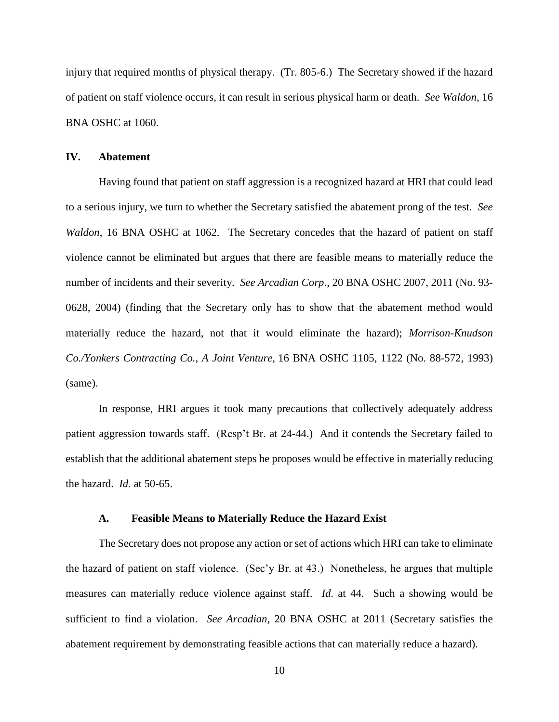injury that required months of physical therapy. (Tr. 805-6.) The Secretary showed if the hazard of patient on staff violence occurs, it can result in serious physical harm or death. *See Waldon*, 16 BNA OSHC at 1060.

#### **IV. Abatement**

Having found that patient on staff aggression is a recognized hazard at HRI that could lead to a serious injury, we turn to whether the Secretary satisfied the abatement prong of the test. *See Waldon*, 16 BNA OSHC at 1062. The Secretary concedes that the hazard of patient on staff violence cannot be eliminated but argues that there are feasible means to materially reduce the number of incidents and their severity. *See Arcadian Corp*., 20 BNA OSHC 2007, 2011 (No. 93- 0628, 2004) (finding that the Secretary only has to show that the abatement method would materially reduce the hazard, not that it would eliminate the hazard); *Morrison-Knudson Co./Yonkers Contracting Co., A Joint Venture,* 16 BNA OSHC 1105, 1122 (No. 88-572, 1993) (same).

In response, HRI argues it took many precautions that collectively adequately address patient aggression towards staff. (Resp't Br. at 24-44.) And it contends the Secretary failed to establish that the additional abatement steps he proposes would be effective in materially reducing the hazard. *Id.* at 50-65.

#### **A. Feasible Means to Materially Reduce the Hazard Exist**

The Secretary does not propose any action or set of actions which HRI can take to eliminate the hazard of patient on staff violence. (Sec'y Br. at 43.) Nonetheless, he argues that multiple measures can materially reduce violence against staff. *Id*. at 44. Such a showing would be sufficient to find a violation. *See Arcadian*, 20 BNA OSHC at 2011 (Secretary satisfies the abatement requirement by demonstrating feasible actions that can materially reduce a hazard).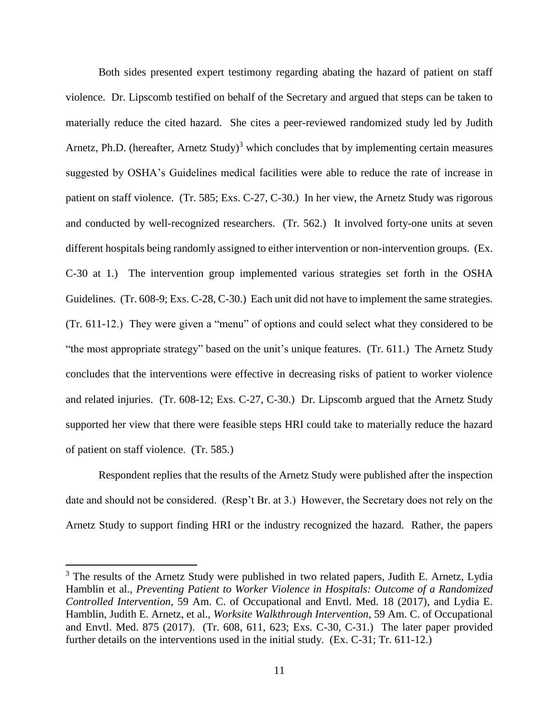Both sides presented expert testimony regarding abating the hazard of patient on staff violence. Dr. Lipscomb testified on behalf of the Secretary and argued that steps can be taken to materially reduce the cited hazard. She cites a peer-reviewed randomized study led by Judith Arnetz, Ph.D. (hereafter, Arnetz Study)<sup>3</sup> which concludes that by implementing certain measures suggested by OSHA's Guidelines medical facilities were able to reduce the rate of increase in patient on staff violence. (Tr. 585; Exs. C-27, C-30.) In her view, the Arnetz Study was rigorous and conducted by well-recognized researchers. (Tr. 562.) It involved forty-one units at seven different hospitals being randomly assigned to either intervention or non-intervention groups. (Ex. C-30 at 1.) The intervention group implemented various strategies set forth in the OSHA Guidelines. (Tr. 608-9; Exs. C-28, C-30.) Each unit did not have to implement the same strategies. (Tr. 611-12.) They were given a "menu" of options and could select what they considered to be "the most appropriate strategy" based on the unit's unique features. (Tr. 611.) The Arnetz Study concludes that the interventions were effective in decreasing risks of patient to worker violence and related injuries. (Tr. 608-12; Exs. C-27, C-30.) Dr. Lipscomb argued that the Arnetz Study supported her view that there were feasible steps HRI could take to materially reduce the hazard of patient on staff violence. (Tr. 585.)

Respondent replies that the results of the Arnetz Study were published after the inspection date and should not be considered. (Resp't Br. at 3.) However, the Secretary does not rely on the Arnetz Study to support finding HRI or the industry recognized the hazard. Rather, the papers

<sup>&</sup>lt;sup>3</sup> The results of the Arnetz Study were published in two related papers, Judith E. Arnetz, Lydia Hamblin et al., *Preventing Patient to Worker Violence in Hospitals: Outcome of a Randomized Controlled Intervention*, 59 Am. C. of Occupational and Envtl. Med. 18 (2017), and Lydia E. Hamblin, Judith E. Arnetz, et al., *Worksite Walkthrough Intervention*, 59 Am. C. of Occupational and Envtl. Med. 875 (2017). (Tr. 608, 611, 623; Exs. C-30, C-31.) The later paper provided further details on the interventions used in the initial study. (Ex. C-31; Tr. 611-12.)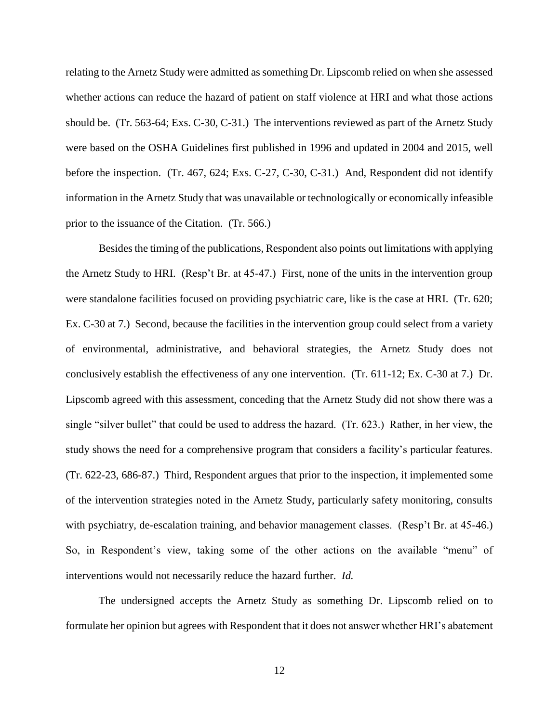relating to the Arnetz Study were admitted as something Dr. Lipscomb relied on when she assessed whether actions can reduce the hazard of patient on staff violence at HRI and what those actions should be. (Tr. 563-64; Exs. C-30, C-31.) The interventions reviewed as part of the Arnetz Study were based on the OSHA Guidelines first published in 1996 and updated in 2004 and 2015, well before the inspection. (Tr. 467, 624; Exs. C-27, C-30, C-31.) And, Respondent did not identify information in the Arnetz Study that was unavailable or technologically or economically infeasible prior to the issuance of the Citation. (Tr. 566.)

Besides the timing of the publications, Respondent also points out limitations with applying the Arnetz Study to HRI. (Resp't Br. at 45-47.) First, none of the units in the intervention group were standalone facilities focused on providing psychiatric care, like is the case at HRI. (Tr. 620; Ex. C-30 at 7.) Second, because the facilities in the intervention group could select from a variety of environmental, administrative, and behavioral strategies, the Arnetz Study does not conclusively establish the effectiveness of any one intervention. (Tr. 611-12; Ex. C-30 at 7.) Dr. Lipscomb agreed with this assessment, conceding that the Arnetz Study did not show there was a single "silver bullet" that could be used to address the hazard. (Tr. 623.) Rather, in her view, the study shows the need for a comprehensive program that considers a facility's particular features. (Tr. 622-23, 686-87.) Third, Respondent argues that prior to the inspection, it implemented some of the intervention strategies noted in the Arnetz Study, particularly safety monitoring, consults with psychiatry, de-escalation training, and behavior management classes. (Resp't Br. at 45-46.) So, in Respondent's view, taking some of the other actions on the available "menu" of interventions would not necessarily reduce the hazard further. *Id.* 

The undersigned accepts the Arnetz Study as something Dr. Lipscomb relied on to formulate her opinion but agrees with Respondent that it does not answer whether HRI's abatement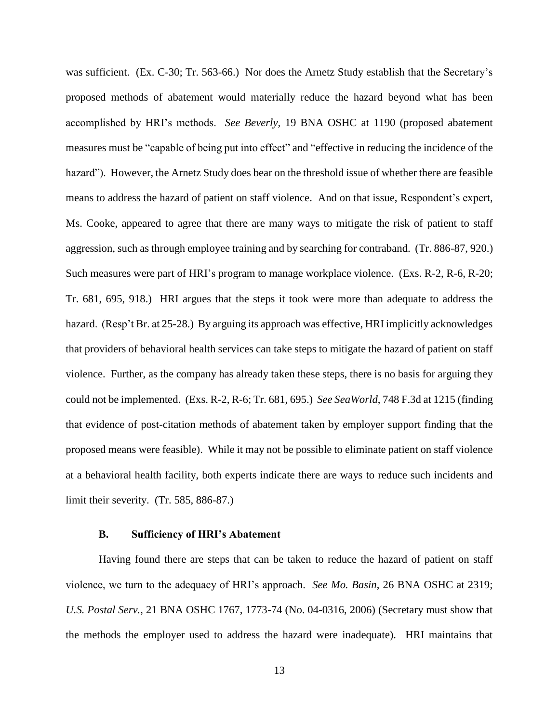was sufficient. (Ex. C-30; Tr. 563-66.) Nor does the Arnetz Study establish that the Secretary's proposed methods of abatement would materially reduce the hazard beyond what has been accomplished by HRI's methods. *See Beverly,* 19 BNA OSHC at 1190 (proposed abatement measures must be "capable of being put into effect" and "effective in reducing the incidence of the hazard"). However, the Arnetz Study does bear on the threshold issue of whether there are feasible means to address the hazard of patient on staff violence. And on that issue, Respondent's expert, Ms. Cooke, appeared to agree that there are many ways to mitigate the risk of patient to staff aggression, such as through employee training and by searching for contraband. (Tr. 886-87, 920.) Such measures were part of HRI's program to manage workplace violence. (Exs. R-2, R-6, R-20; Tr. 681, 695, 918.) HRI argues that the steps it took were more than adequate to address the hazard. (Resp't Br. at 25-28.) By arguing its approach was effective, HRI implicitly acknowledges that providers of behavioral health services can take steps to mitigate the hazard of patient on staff violence. Further, as the company has already taken these steps, there is no basis for arguing they could not be implemented. (Exs. R-2, R-6; Tr. 681, 695.) *See SeaWorld*, 748 F.3d at 1215 (finding that evidence of post-citation methods of abatement taken by employer support finding that the proposed means were feasible). While it may not be possible to eliminate patient on staff violence at a behavioral health facility, both experts indicate there are ways to reduce such incidents and limit their severity. (Tr. 585, 886-87.)

#### **B. Sufficiency of HRI's Abatement**

Having found there are steps that can be taken to reduce the hazard of patient on staff violence, we turn to the adequacy of HRI's approach. *See Mo. Basin*, 26 BNA OSHC at 2319; *U.S. Postal Serv.*, 21 BNA OSHC 1767, 1773-74 (No. 04-0316, 2006) (Secretary must show that the methods the employer used to address the hazard were inadequate). HRI maintains that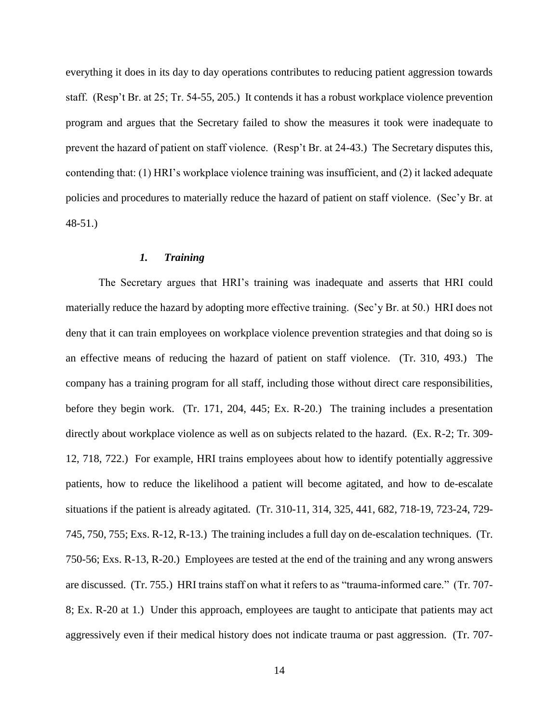everything it does in its day to day operations contributes to reducing patient aggression towards staff. (Resp't Br. at 25; Tr. 54-55, 205.) It contends it has a robust workplace violence prevention program and argues that the Secretary failed to show the measures it took were inadequate to prevent the hazard of patient on staff violence. (Resp't Br. at 24-43.) The Secretary disputes this, contending that: (1) HRI's workplace violence training was insufficient, and (2) it lacked adequate policies and procedures to materially reduce the hazard of patient on staff violence. (Sec'y Br. at 48-51.)

## *1. Training*

The Secretary argues that HRI's training was inadequate and asserts that HRI could materially reduce the hazard by adopting more effective training. (Sec'y Br. at 50.) HRI does not deny that it can train employees on workplace violence prevention strategies and that doing so is an effective means of reducing the hazard of patient on staff violence. (Tr. 310, 493.) The company has a training program for all staff, including those without direct care responsibilities, before they begin work. (Tr. 171, 204, 445; Ex. R-20.) The training includes a presentation directly about workplace violence as well as on subjects related to the hazard. (Ex. R-2; Tr. 309- 12, 718, 722.) For example, HRI trains employees about how to identify potentially aggressive patients, how to reduce the likelihood a patient will become agitated, and how to de-escalate situations if the patient is already agitated. (Tr. 310-11, 314, 325, 441, 682, 718-19, 723-24, 729- 745, 750, 755; Exs. R-12, R-13.) The training includes a full day on de-escalation techniques. (Tr. 750-56; Exs. R-13, R-20.) Employees are tested at the end of the training and any wrong answers are discussed. (Tr. 755.) HRI trains staff on what it refers to as "trauma-informed care." (Tr. 707- 8; Ex. R-20 at 1.) Under this approach, employees are taught to anticipate that patients may act aggressively even if their medical history does not indicate trauma or past aggression. (Tr. 707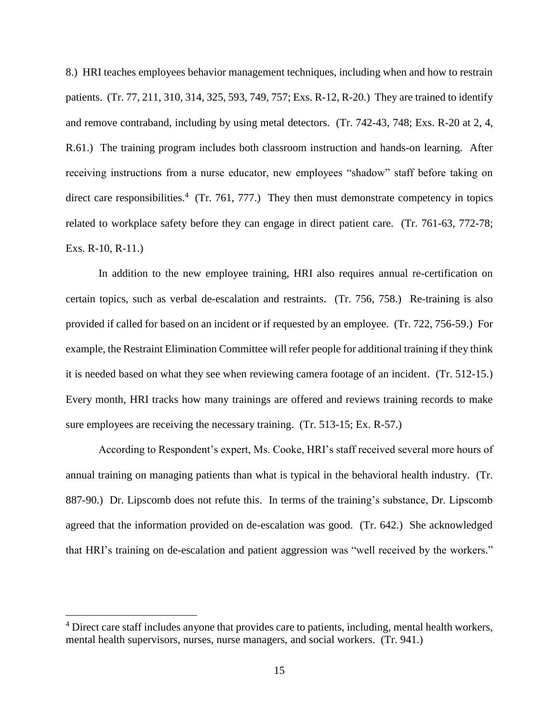8.) HRI teaches employees behavior management techniques, including when and how to restrain patients. (Tr. 77, 211, 310, 314, 325, 593, 749, 757; Exs. R-12, R-20.) They are trained to identify and remove contraband, including by using metal detectors. (Tr. 742-43, 748; Exs. R-20 at 2, 4, R.61.) The training program includes both classroom instruction and hands-on learning. After receiving instructions from a nurse educator, new employees "shadow" staff before taking on direct care responsibilities.<sup>4</sup> (Tr. 761, 777.) They then must demonstrate competency in topics related to workplace safety before they can engage in direct patient care. (Tr. 761-63, 772-78; Exs. R-10, R-11.)

In addition to the new employee training, HRI also requires annual re-certification on certain topics, such as verbal de-escalation and restraints. (Tr. 756, 758.) Re-training is also provided if called for based on an incident or if requested by an employee. (Tr. 722, 756-59.) For example, the Restraint Elimination Committee will refer people for additional training if they think it is needed based on what they see when reviewing camera footage of an incident. (Tr. 512-15.) Every month, HRI tracks how many trainings are offered and reviews training records to make sure employees are receiving the necessary training. (Tr. 513-15; Ex. R-57.)

According to Respondent's expert, Ms. Cooke, HRI's staff received several more hours of annual training on managing patients than what is typical in the behavioral health industry. (Tr. 887-90.) Dr. Lipscomb does not refute this. In terms of the training's substance, Dr. Lipscomb agreed that the information provided on de-escalation was good. (Tr. 642.) She acknowledged that HRI's training on de-escalation and patient aggression was "well received by the workers."

<sup>&</sup>lt;sup>4</sup> Direct care staff includes anyone that provides care to patients, including, mental health workers, mental health supervisors, nurses, nurse managers, and social workers. (Tr. 941.)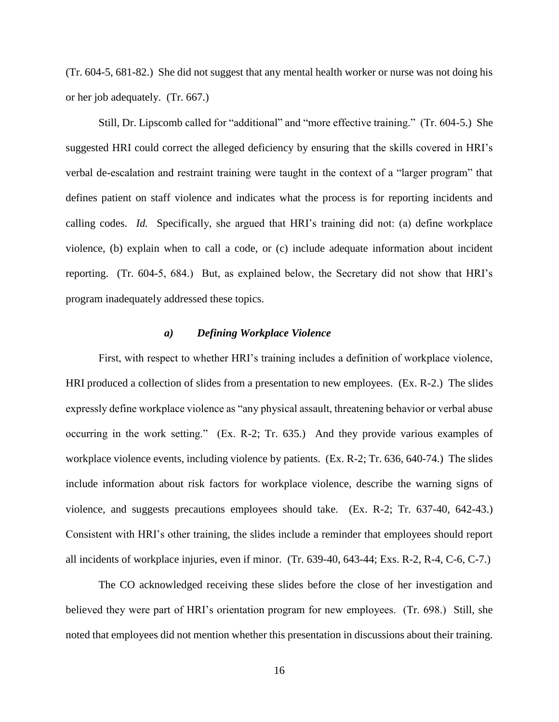(Tr. 604-5, 681-82.) She did not suggest that any mental health worker or nurse was not doing his or her job adequately. (Tr. 667.)

Still, Dr. Lipscomb called for "additional" and "more effective training." (Tr. 604-5.) She suggested HRI could correct the alleged deficiency by ensuring that the skills covered in HRI's verbal de-escalation and restraint training were taught in the context of a "larger program" that defines patient on staff violence and indicates what the process is for reporting incidents and calling codes. *Id.* Specifically, she argued that HRI's training did not: (a) define workplace violence, (b) explain when to call a code, or (c) include adequate information about incident reporting. (Tr. 604-5, 684.) But, as explained below, the Secretary did not show that HRI's program inadequately addressed these topics.

#### *a) Defining Workplace Violence*

First, with respect to whether HRI's training includes a definition of workplace violence, HRI produced a collection of slides from a presentation to new employees. (Ex. R-2.) The slides expressly define workplace violence as "any physical assault, threatening behavior or verbal abuse occurring in the work setting." (Ex. R-2; Tr. 635.) And they provide various examples of workplace violence events, including violence by patients. (Ex. R-2; Tr. 636, 640-74.) The slides include information about risk factors for workplace violence, describe the warning signs of violence, and suggests precautions employees should take. (Ex. R-2; Tr. 637-40, 642-43.) Consistent with HRI's other training, the slides include a reminder that employees should report all incidents of workplace injuries, even if minor. (Tr. 639-40, 643-44; Exs. R-2, R-4, C-6, C-7.)

The CO acknowledged receiving these slides before the close of her investigation and believed they were part of HRI's orientation program for new employees. (Tr. 698.) Still, she noted that employees did not mention whether this presentation in discussions about their training.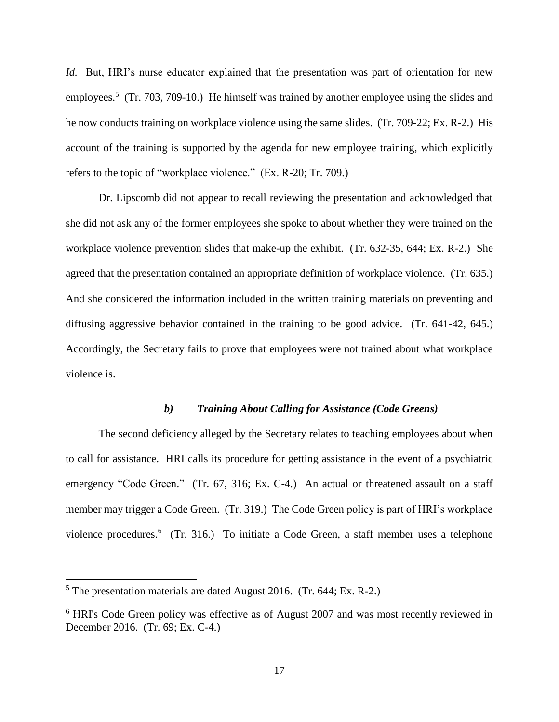*Id.* But, HRI's nurse educator explained that the presentation was part of orientation for new employees.<sup>5</sup> (Tr. 703, 709-10.) He himself was trained by another employee using the slides and he now conducts training on workplace violence using the same slides. (Tr. 709-22; Ex. R-2.) His account of the training is supported by the agenda for new employee training, which explicitly refers to the topic of "workplace violence." (Ex. R-20; Tr. 709.)

Dr. Lipscomb did not appear to recall reviewing the presentation and acknowledged that she did not ask any of the former employees she spoke to about whether they were trained on the workplace violence prevention slides that make-up the exhibit. (Tr. 632-35, 644; Ex. R-2.) She agreed that the presentation contained an appropriate definition of workplace violence. (Tr. 635.) And she considered the information included in the written training materials on preventing and diffusing aggressive behavior contained in the training to be good advice. (Tr. 641-42, 645.) Accordingly, the Secretary fails to prove that employees were not trained about what workplace violence is.

## *b) Training About Calling for Assistance (Code Greens)*

The second deficiency alleged by the Secretary relates to teaching employees about when to call for assistance. HRI calls its procedure for getting assistance in the event of a psychiatric emergency "Code Green." (Tr. 67, 316; Ex. C-4.) An actual or threatened assault on a staff member may trigger a Code Green. (Tr. 319.) The Code Green policy is part of HRI's workplace violence procedures.<sup>6</sup> (Tr. 316.) To initiate a Code Green, a staff member uses a telephone

 $5$  The presentation materials are dated August 2016. (Tr. 644; Ex. R-2.)

<sup>6</sup> HRI's Code Green policy was effective as of August 2007 and was most recently reviewed in December 2016. (Tr. 69; Ex. C-4.)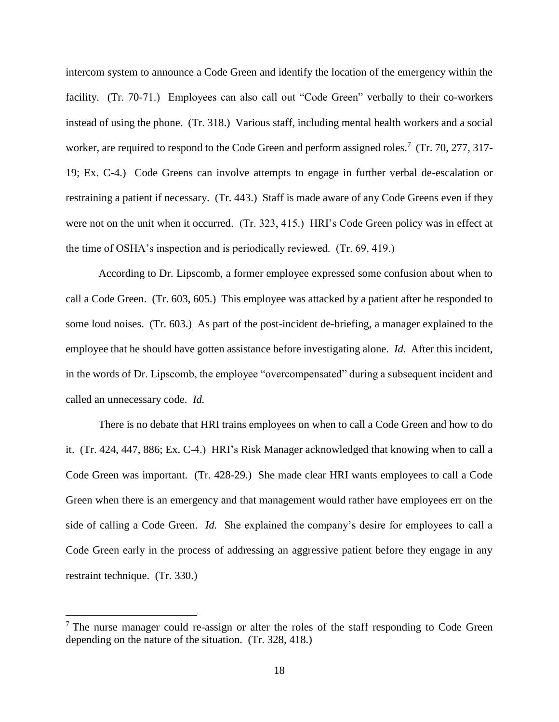intercom system to announce a Code Green and identify the location of the emergency within the facility. (Tr. 70-71.) Employees can also call out "Code Green" verbally to their co-workers instead of using the phone. (Tr. 318.) Various staff, including mental health workers and a social worker, are required to respond to the Code Green and perform assigned roles.<sup>7</sup> (Tr. 70, 277, 317-19; Ex. C-4.) Code Greens can involve attempts to engage in further verbal de-escalation or restraining a patient if necessary. (Tr. 443.) Staff is made aware of any Code Greens even if they were not on the unit when it occurred. (Tr. 323, 415.) HRI's Code Green policy was in effect at the time of OSHA's inspection and is periodically reviewed. (Tr. 69, 419.)

According to Dr. Lipscomb, a former employee expressed some confusion about when to call a Code Green. (Tr. 603, 605.) This employee was attacked by a patient after he responded to some loud noises. (Tr. 603.) As part of the post-incident de-briefing, a manager explained to the employee that he should have gotten assistance before investigating alone. *Id*. After this incident, in the words of Dr. Lipscomb, the employee "overcompensated" during a subsequent incident and called an unnecessary code. *Id.*

There is no debate that HRI trains employees on when to call a Code Green and how to do it. (Tr. 424, 447, 886; Ex. C-4.) HRI's Risk Manager acknowledged that knowing when to call a Code Green was important. (Tr. 428-29.) She made clear HRI wants employees to call a Code Green when there is an emergency and that management would rather have employees err on the side of calling a Code Green. *Id.* She explained the company's desire for employees to call a Code Green early in the process of addressing an aggressive patient before they engage in any restraint technique. (Tr. 330.)

 $<sup>7</sup>$  The nurse manager could re-assign or alter the roles of the staff responding to Code Green</sup> depending on the nature of the situation. (Tr. 328, 418.)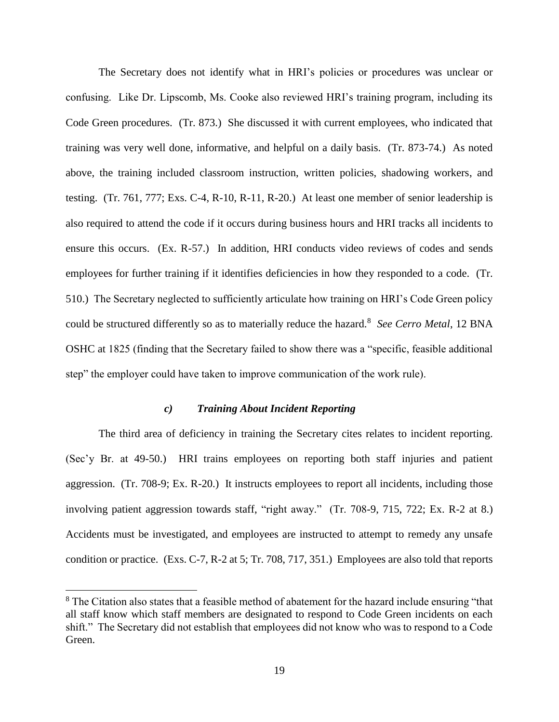The Secretary does not identify what in HRI's policies or procedures was unclear or confusing. Like Dr. Lipscomb, Ms. Cooke also reviewed HRI's training program, including its Code Green procedures. (Tr. 873.) She discussed it with current employees, who indicated that training was very well done, informative, and helpful on a daily basis. (Tr. 873-74.) As noted above, the training included classroom instruction, written policies, shadowing workers, and testing. (Tr. 761, 777; Exs. C-4, R-10, R-11, R-20.) At least one member of senior leadership is also required to attend the code if it occurs during business hours and HRI tracks all incidents to ensure this occurs. (Ex. R-57.) In addition, HRI conducts video reviews of codes and sends employees for further training if it identifies deficiencies in how they responded to a code. (Tr. 510.) The Secretary neglected to sufficiently articulate how training on HRI's Code Green policy could be structured differently so as to materially reduce the hazard.<sup>8</sup> See Cerro Metal, 12 BNA OSHC at 1825 (finding that the Secretary failed to show there was a "specific, feasible additional step" the employer could have taken to improve communication of the work rule).

## *c) Training About Incident Reporting*

The third area of deficiency in training the Secretary cites relates to incident reporting. (Sec'y Br. at 49-50.) HRI trains employees on reporting both staff injuries and patient aggression. (Tr. 708-9; Ex. R-20.) It instructs employees to report all incidents, including those involving patient aggression towards staff, "right away." (Tr. 708-9, 715, 722; Ex. R-2 at 8.) Accidents must be investigated, and employees are instructed to attempt to remedy any unsafe condition or practice. (Exs. C-7, R-2 at 5; Tr. 708, 717, 351.) Employees are also told that reports

<sup>&</sup>lt;sup>8</sup> The Citation also states that a feasible method of abatement for the hazard include ensuring "that all staff know which staff members are designated to respond to Code Green incidents on each shift." The Secretary did not establish that employees did not know who was to respond to a Code Green.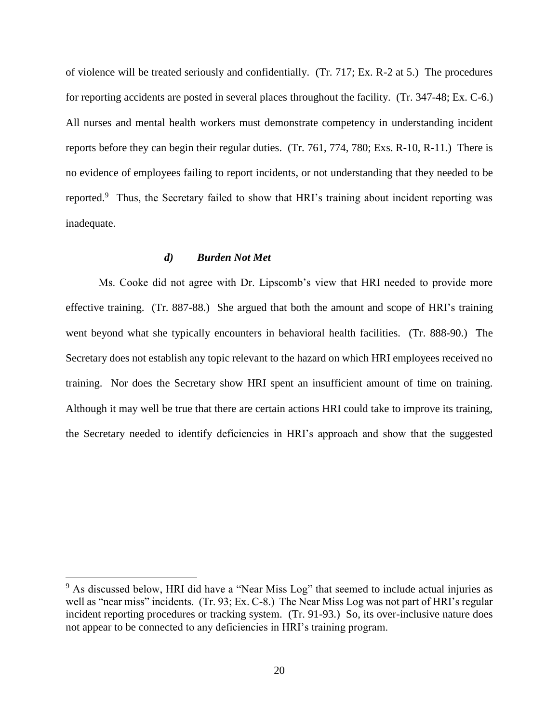of violence will be treated seriously and confidentially. (Tr. 717; Ex. R-2 at 5.) The procedures for reporting accidents are posted in several places throughout the facility. (Tr. 347-48; Ex. C-6.) All nurses and mental health workers must demonstrate competency in understanding incident reports before they can begin their regular duties. (Tr. 761, 774, 780; Exs. R-10, R-11.) There is no evidence of employees failing to report incidents, or not understanding that they needed to be reported.<sup>9</sup> Thus, the Secretary failed to show that HRI's training about incident reporting was inadequate.

#### *d) Burden Not Met*

 $\overline{a}$ 

Ms. Cooke did not agree with Dr. Lipscomb's view that HRI needed to provide more effective training. (Tr. 887-88.) She argued that both the amount and scope of HRI's training went beyond what she typically encounters in behavioral health facilities. (Tr. 888-90.) The Secretary does not establish any topic relevant to the hazard on which HRI employees received no training. Nor does the Secretary show HRI spent an insufficient amount of time on training. Although it may well be true that there are certain actions HRI could take to improve its training, the Secretary needed to identify deficiencies in HRI's approach and show that the suggested

<sup>&</sup>lt;sup>9</sup> As discussed below, HRI did have a "Near Miss Log" that seemed to include actual injuries as well as "near miss" incidents. (Tr. 93; Ex. C-8.) The Near Miss Log was not part of HRI's regular incident reporting procedures or tracking system. (Tr. 91-93.) So, its over-inclusive nature does not appear to be connected to any deficiencies in HRI's training program.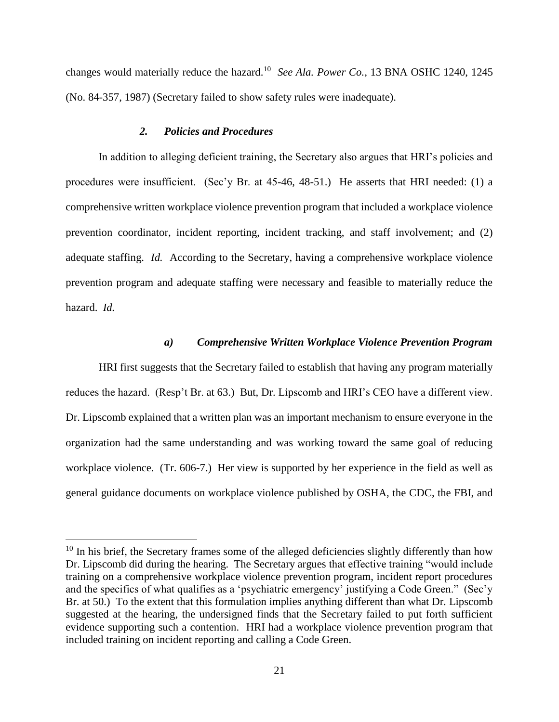changes would materially reduce the hazard.<sup>10</sup> See Ala. Power Co., 13 BNA OSHC 1240, 1245 (No. 84-357, 1987) (Secretary failed to show safety rules were inadequate).

## *2. Policies and Procedures*

 $\overline{a}$ 

In addition to alleging deficient training, the Secretary also argues that HRI's policies and procedures were insufficient. (Sec'y Br. at 45-46, 48-51.) He asserts that HRI needed: (1) a comprehensive written workplace violence prevention program that included a workplace violence prevention coordinator, incident reporting, incident tracking, and staff involvement; and (2) adequate staffing. *Id.* According to the Secretary, having a comprehensive workplace violence prevention program and adequate staffing were necessary and feasible to materially reduce the hazard. *Id.* 

#### *a) Comprehensive Written Workplace Violence Prevention Program*

HRI first suggests that the Secretary failed to establish that having any program materially reduces the hazard. (Resp't Br. at 63.) But, Dr. Lipscomb and HRI's CEO have a different view. Dr. Lipscomb explained that a written plan was an important mechanism to ensure everyone in the organization had the same understanding and was working toward the same goal of reducing workplace violence. (Tr. 606-7.) Her view is supported by her experience in the field as well as general guidance documents on workplace violence published by OSHA, the CDC, the FBI, and

<sup>&</sup>lt;sup>10</sup> In his brief, the Secretary frames some of the alleged deficiencies slightly differently than how Dr. Lipscomb did during the hearing. The Secretary argues that effective training "would include training on a comprehensive workplace violence prevention program, incident report procedures and the specifics of what qualifies as a 'psychiatric emergency' justifying a Code Green." (Sec'y Br. at 50.) To the extent that this formulation implies anything different than what Dr. Lipscomb suggested at the hearing, the undersigned finds that the Secretary failed to put forth sufficient evidence supporting such a contention. HRI had a workplace violence prevention program that included training on incident reporting and calling a Code Green.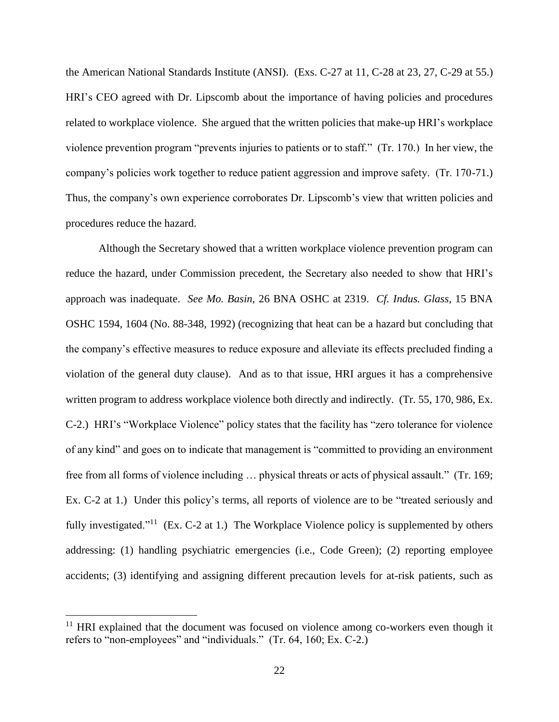the American National Standards Institute (ANSI). (Exs. C-27 at 11, C-28 at 23, 27, C-29 at 55.) HRI's CEO agreed with Dr. Lipscomb about the importance of having policies and procedures related to workplace violence. She argued that the written policies that make-up HRI's workplace violence prevention program "prevents injuries to patients or to staff." (Tr. 170.) In her view, the company's policies work together to reduce patient aggression and improve safety. (Tr. 170-71.) Thus, the company's own experience corroborates Dr. Lipscomb's view that written policies and procedures reduce the hazard.

Although the Secretary showed that a written workplace violence prevention program can reduce the hazard, under Commission precedent, the Secretary also needed to show that HRI's approach was inadequate. *See Mo. Basin*, 26 BNA OSHC at 2319. *Cf. Indus. Glass*, 15 BNA OSHC 1594, 1604 (No. 88-348, 1992) (recognizing that heat can be a hazard but concluding that the company's effective measures to reduce exposure and alleviate its effects precluded finding a violation of the general duty clause). And as to that issue, HRI argues it has a comprehensive written program to address workplace violence both directly and indirectly. (Tr. 55, 170, 986, Ex. C-2.) HRI's "Workplace Violence" policy states that the facility has "zero tolerance for violence of any kind" and goes on to indicate that management is "committed to providing an environment free from all forms of violence including … physical threats or acts of physical assault." (Tr. 169; Ex. C-2 at 1.) Under this policy's terms, all reports of violence are to be "treated seriously and fully investigated."<sup>11</sup> (Ex. C-2 at 1.) The Workplace Violence policy is supplemented by others addressing: (1) handling psychiatric emergencies (i.e., Code Green); (2) reporting employee accidents; (3) identifying and assigning different precaution levels for at-risk patients, such as

 $11$  HRI explained that the document was focused on violence among co-workers even though it refers to "non-employees" and "individuals." (Tr. 64, 160; Ex. C-2.)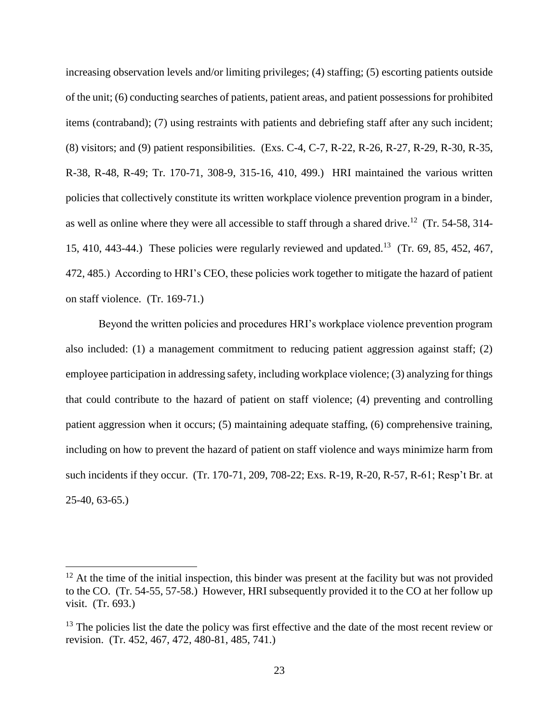increasing observation levels and/or limiting privileges; (4) staffing; (5) escorting patients outside of the unit; (6) conducting searches of patients, patient areas, and patient possessions for prohibited items (contraband); (7) using restraints with patients and debriefing staff after any such incident; (8) visitors; and (9) patient responsibilities. (Exs. C-4, C-7, R-22, R-26, R-27, R-29, R-30, R-35, R-38, R-48, R-49; Tr. 170-71, 308-9, 315-16, 410, 499.) HRI maintained the various written policies that collectively constitute its written workplace violence prevention program in a binder, as well as online where they were all accessible to staff through a shared drive.<sup>12</sup> (Tr. 54-58, 314-15, 410, 443-44.) These policies were regularly reviewed and updated.<sup>13</sup> (Tr. 69, 85, 452, 467, 472, 485.) According to HRI's CEO, these policies work together to mitigate the hazard of patient on staff violence. (Tr. 169-71.)

Beyond the written policies and procedures HRI's workplace violence prevention program also included: (1) a management commitment to reducing patient aggression against staff; (2) employee participation in addressing safety, including workplace violence; (3) analyzing for things that could contribute to the hazard of patient on staff violence; (4) preventing and controlling patient aggression when it occurs; (5) maintaining adequate staffing, (6) comprehensive training, including on how to prevent the hazard of patient on staff violence and ways minimize harm from such incidents if they occur. (Tr. 170-71, 209, 708-22; Exs. R-19, R-20, R-57, R-61; Resp't Br. at 25-40, 63-65.)

 $12$  At the time of the initial inspection, this binder was present at the facility but was not provided to the CO. (Tr. 54-55, 57-58.) However, HRI subsequently provided it to the CO at her follow up visit. (Tr. 693.)

<sup>&</sup>lt;sup>13</sup> The policies list the date the policy was first effective and the date of the most recent review or revision. (Tr. 452, 467, 472, 480-81, 485, 741.)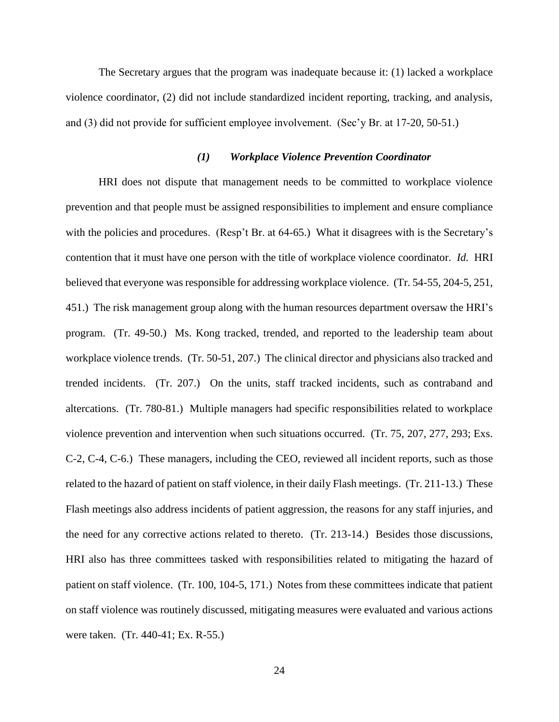The Secretary argues that the program was inadequate because it: (1) lacked a workplace violence coordinator, (2) did not include standardized incident reporting, tracking, and analysis, and (3) did not provide for sufficient employee involvement. (Sec'y Br. at 17-20, 50-51.)

## *(1) Workplace Violence Prevention Coordinator*

HRI does not dispute that management needs to be committed to workplace violence prevention and that people must be assigned responsibilities to implement and ensure compliance with the policies and procedures. (Resp't Br. at 64-65.) What it disagrees with is the Secretary's contention that it must have one person with the title of workplace violence coordinator. *Id.* HRI believed that everyone was responsible for addressing workplace violence. (Tr. 54-55, 204-5, 251, 451.) The risk management group along with the human resources department oversaw the HRI's program. (Tr. 49-50.) Ms. Kong tracked, trended, and reported to the leadership team about workplace violence trends. (Tr. 50-51, 207.) The clinical director and physicians also tracked and trended incidents. (Tr. 207.) On the units, staff tracked incidents, such as contraband and altercations. (Tr. 780-81.) Multiple managers had specific responsibilities related to workplace violence prevention and intervention when such situations occurred. (Tr. 75, 207, 277, 293; Exs. C-2, C-4, C-6.) These managers, including the CEO, reviewed all incident reports, such as those related to the hazard of patient on staff violence, in their daily Flash meetings. (Tr. 211-13.) These Flash meetings also address incidents of patient aggression, the reasons for any staff injuries, and the need for any corrective actions related to thereto. (Tr. 213-14.) Besides those discussions, HRI also has three committees tasked with responsibilities related to mitigating the hazard of patient on staff violence. (Tr. 100, 104-5, 171.) Notes from these committees indicate that patient on staff violence was routinely discussed, mitigating measures were evaluated and various actions were taken. (Tr. 440-41; Ex. R-55.)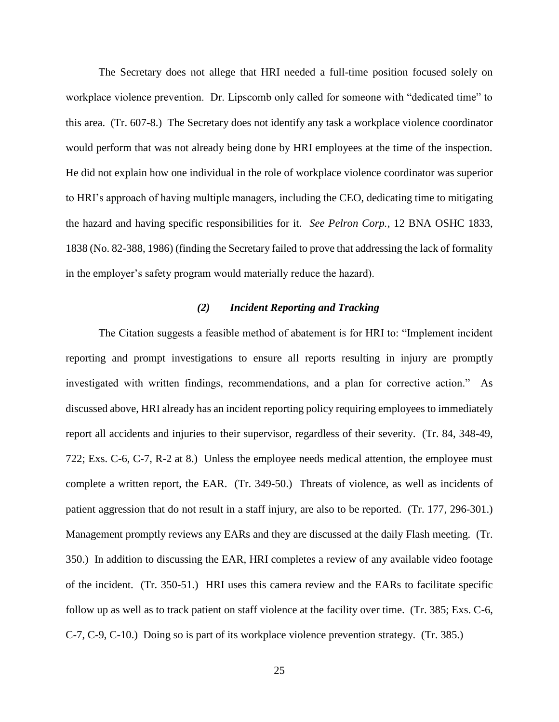The Secretary does not allege that HRI needed a full-time position focused solely on workplace violence prevention. Dr. Lipscomb only called for someone with "dedicated time" to this area. (Tr. 607-8.) The Secretary does not identify any task a workplace violence coordinator would perform that was not already being done by HRI employees at the time of the inspection. He did not explain how one individual in the role of workplace violence coordinator was superior to HRI's approach of having multiple managers, including the CEO, dedicating time to mitigating the hazard and having specific responsibilities for it. *See Pelron Corp.*, 12 BNA OSHC 1833, 1838 (No. 82-388, 1986) (finding the Secretary failed to prove that addressing the lack of formality in the employer's safety program would materially reduce the hazard).

## *(2) Incident Reporting and Tracking*

The Citation suggests a feasible method of abatement is for HRI to: "Implement incident reporting and prompt investigations to ensure all reports resulting in injury are promptly investigated with written findings, recommendations, and a plan for corrective action." As discussed above, HRI already has an incident reporting policy requiring employees to immediately report all accidents and injuries to their supervisor, regardless of their severity. (Tr. 84, 348-49, 722; Exs. C-6, C-7, R-2 at 8.) Unless the employee needs medical attention, the employee must complete a written report, the EAR. (Tr. 349-50.) Threats of violence, as well as incidents of patient aggression that do not result in a staff injury, are also to be reported. (Tr. 177, 296-301.) Management promptly reviews any EARs and they are discussed at the daily Flash meeting. (Tr. 350.) In addition to discussing the EAR, HRI completes a review of any available video footage of the incident. (Tr. 350-51.) HRI uses this camera review and the EARs to facilitate specific follow up as well as to track patient on staff violence at the facility over time. (Tr. 385; Exs. C-6, C-7, C-9, C-10.) Doing so is part of its workplace violence prevention strategy. (Tr. 385.)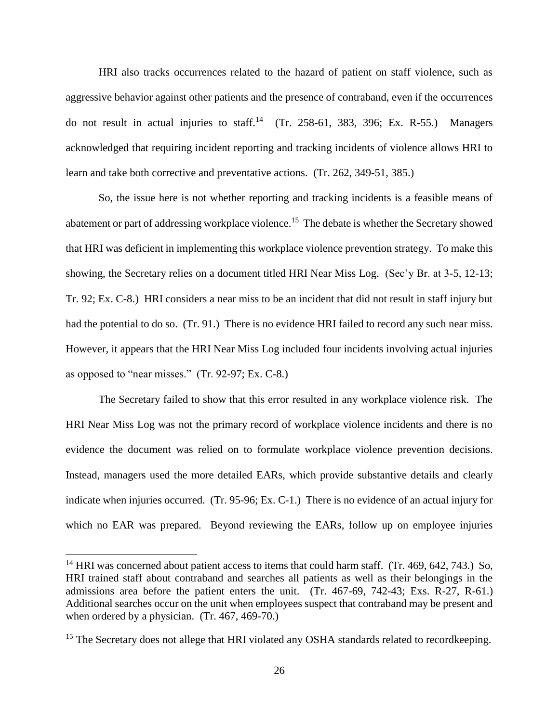HRI also tracks occurrences related to the hazard of patient on staff violence, such as aggressive behavior against other patients and the presence of contraband, even if the occurrences do not result in actual injuries to staff.<sup>14</sup> (Tr. 258-61, 383, 396; Ex. R-55.) Managers acknowledged that requiring incident reporting and tracking incidents of violence allows HRI to learn and take both corrective and preventative actions. (Tr. 262, 349-51, 385.)

So, the issue here is not whether reporting and tracking incidents is a feasible means of abatement or part of addressing workplace violence.<sup>15</sup> The debate is whether the Secretary showed that HRI was deficient in implementing this workplace violence prevention strategy. To make this showing, the Secretary relies on a document titled HRI Near Miss Log. (Sec'y Br. at 3-5, 12-13; Tr. 92; Ex. C-8.) HRI considers a near miss to be an incident that did not result in staff injury but had the potential to do so. (Tr. 91.) There is no evidence HRI failed to record any such near miss. However, it appears that the HRI Near Miss Log included four incidents involving actual injuries as opposed to "near misses." (Tr. 92-97; Ex. C-8.)

The Secretary failed to show that this error resulted in any workplace violence risk. The HRI Near Miss Log was not the primary record of workplace violence incidents and there is no evidence the document was relied on to formulate workplace violence prevention decisions. Instead, managers used the more detailed EARs, which provide substantive details and clearly indicate when injuries occurred. (Tr. 95-96; Ex. C-1.)There is no evidence of an actual injury for which no EAR was prepared. Beyond reviewing the EARs, follow up on employee injuries

<sup>&</sup>lt;sup>14</sup> HRI was concerned about patient access to items that could harm staff. (Tr. 469, 642, 743.) So, HRI trained staff about contraband and searches all patients as well as their belongings in the admissions area before the patient enters the unit. (Tr. 467-69, 742-43; Exs. R-27, R-61.) Additional searches occur on the unit when employees suspect that contraband may be present and when ordered by a physician. (Tr. 467, 469-70.)

<sup>&</sup>lt;sup>15</sup> The Secretary does not allege that HRI violated any OSHA standards related to recordkeeping.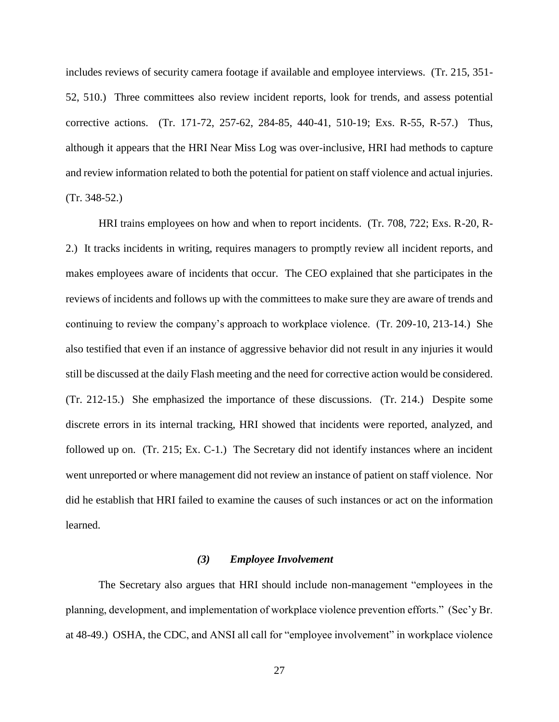includes reviews of security camera footage if available and employee interviews. (Tr. 215, 351- 52, 510.) Three committees also review incident reports, look for trends, and assess potential corrective actions. (Tr. 171-72, 257-62, 284-85, 440-41, 510-19; Exs. R-55, R-57.) Thus, although it appears that the HRI Near Miss Log was over-inclusive, HRI had methods to capture and review information related to both the potential for patient on staff violence and actual injuries. (Tr. 348-52.)

HRI trains employees on how and when to report incidents. (Tr. 708, 722; Exs. R-20, R-2.) It tracks incidents in writing, requires managers to promptly review all incident reports, and makes employees aware of incidents that occur. The CEO explained that she participates in the reviews of incidents and follows up with the committees to make sure they are aware of trends and continuing to review the company's approach to workplace violence. (Tr. 209-10, 213-14.) She also testified that even if an instance of aggressive behavior did not result in any injuries it would still be discussed at the daily Flash meeting and the need for corrective action would be considered. (Tr. 212-15.) She emphasized the importance of these discussions. (Tr. 214.) Despite some discrete errors in its internal tracking, HRI showed that incidents were reported, analyzed, and followed up on. (Tr. 215; Ex. C-1.) The Secretary did not identify instances where an incident went unreported or where management did not review an instance of patient on staff violence. Nor did he establish that HRI failed to examine the causes of such instances or act on the information learned.

#### *(3) Employee Involvement*

The Secretary also argues that HRI should include non-management "employees in the planning, development, and implementation of workplace violence prevention efforts." (Sec'y Br. at 48-49.) OSHA, the CDC, and ANSI all call for "employee involvement" in workplace violence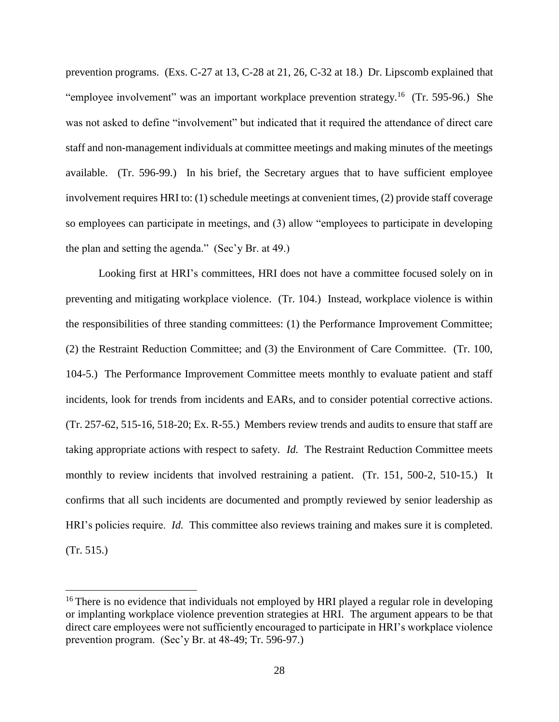prevention programs. (Exs. C-27 at 13, C-28 at 21, 26, C-32 at 18.) Dr. Lipscomb explained that "employee involvement" was an important workplace prevention strategy.<sup>16</sup> (Tr. 595-96.) She was not asked to define "involvement" but indicated that it required the attendance of direct care staff and non-management individuals at committee meetings and making minutes of the meetings available. (Tr. 596-99.) In his brief, the Secretary argues that to have sufficient employee involvement requires HRI to: (1) schedule meetings at convenient times, (2) provide staff coverage so employees can participate in meetings, and (3) allow "employees to participate in developing the plan and setting the agenda." (Sec'y Br. at 49.)

Looking first at HRI's committees, HRI does not have a committee focused solely on in preventing and mitigating workplace violence. (Tr. 104.) Instead, workplace violence is within the responsibilities of three standing committees: (1) the Performance Improvement Committee; (2) the Restraint Reduction Committee; and (3) the Environment of Care Committee. (Tr. 100, 104-5.) The Performance Improvement Committee meets monthly to evaluate patient and staff incidents, look for trends from incidents and EARs, and to consider potential corrective actions. (Tr. 257-62, 515-16, 518-20; Ex. R-55.) Members review trends and audits to ensure that staff are taking appropriate actions with respect to safety. *Id.* The Restraint Reduction Committee meets monthly to review incidents that involved restraining a patient. (Tr. 151, 500-2, 510-15.) It confirms that all such incidents are documented and promptly reviewed by senior leadership as HRI's policies require. *Id.* This committee also reviews training and makes sure it is completed. (Tr. 515.)

 $16$  There is no evidence that individuals not employed by HRI played a regular role in developing or implanting workplace violence prevention strategies at HRI. The argument appears to be that direct care employees were not sufficiently encouraged to participate in HRI's workplace violence prevention program. (Sec'y Br. at 48-49; Tr. 596-97.)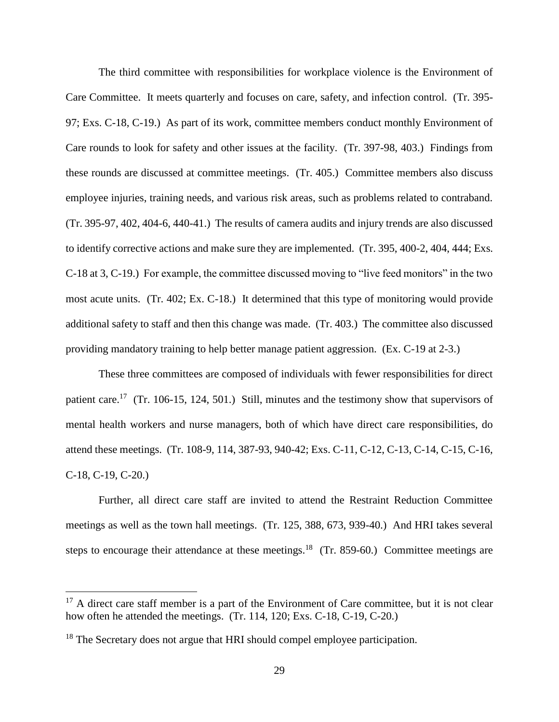The third committee with responsibilities for workplace violence is the Environment of Care Committee. It meets quarterly and focuses on care, safety, and infection control. (Tr. 395- 97; Exs. C-18, C-19.) As part of its work, committee members conduct monthly Environment of Care rounds to look for safety and other issues at the facility. (Tr. 397-98, 403.) Findings from these rounds are discussed at committee meetings. (Tr. 405.) Committee members also discuss employee injuries, training needs, and various risk areas, such as problems related to contraband. (Tr. 395-97, 402, 404-6, 440-41.) The results of camera audits and injury trends are also discussed to identify corrective actions and make sure they are implemented. (Tr. 395, 400-2, 404, 444; Exs. C-18 at 3, C-19.) For example, the committee discussed moving to "live feed monitors" in the two most acute units. (Tr. 402; Ex. C-18.) It determined that this type of monitoring would provide additional safety to staff and then this change was made. (Tr. 403.) The committee also discussed providing mandatory training to help better manage patient aggression. (Ex. C-19 at 2-3.)

These three committees are composed of individuals with fewer responsibilities for direct patient care.<sup>17</sup> (Tr. 106-15, 124, 501.) Still, minutes and the testimony show that supervisors of mental health workers and nurse managers, both of which have direct care responsibilities, do attend these meetings. (Tr. 108-9, 114, 387-93, 940-42; Exs. C-11, C-12, C-13, C-14, C-15, C-16, C-18, C-19, C-20.)

Further, all direct care staff are invited to attend the Restraint Reduction Committee meetings as well as the town hall meetings. (Tr. 125, 388, 673, 939-40.) And HRI takes several steps to encourage their attendance at these meetings.<sup>18</sup> (Tr. 859-60.) Committee meetings are

 $17$  A direct care staff member is a part of the Environment of Care committee, but it is not clear how often he attended the meetings. (Tr. 114, 120; Exs. C-18, C-19, C-20.)

<sup>&</sup>lt;sup>18</sup> The Secretary does not argue that HRI should compel employee participation.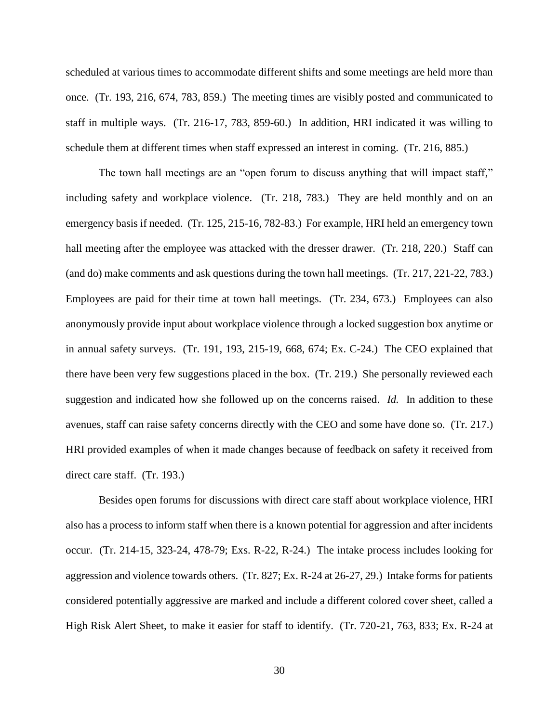scheduled at various times to accommodate different shifts and some meetings are held more than once. (Tr. 193, 216, 674, 783, 859.) The meeting times are visibly posted and communicated to staff in multiple ways. (Tr. 216-17, 783, 859-60.) In addition, HRI indicated it was willing to schedule them at different times when staff expressed an interest in coming. (Tr. 216, 885.)

The town hall meetings are an "open forum to discuss anything that will impact staff," including safety and workplace violence. (Tr. 218, 783.) They are held monthly and on an emergency basis if needed. (Tr. 125, 215-16, 782-83.) For example, HRI held an emergency town hall meeting after the employee was attacked with the dresser drawer. (Tr. 218, 220.) Staff can (and do) make comments and ask questions during the town hall meetings. (Tr. 217, 221-22, 783.) Employees are paid for their time at town hall meetings. (Tr. 234, 673.) Employees can also anonymously provide input about workplace violence through a locked suggestion box anytime or in annual safety surveys. (Tr. 191, 193, 215-19, 668, 674; Ex. C-24.) The CEO explained that there have been very few suggestions placed in the box. (Tr. 219.) She personally reviewed each suggestion and indicated how she followed up on the concerns raised. *Id.* In addition to these avenues, staff can raise safety concerns directly with the CEO and some have done so. (Tr. 217.) HRI provided examples of when it made changes because of feedback on safety it received from direct care staff. (Tr. 193.)

Besides open forums for discussions with direct care staff about workplace violence, HRI also has a process to inform staff when there is a known potential for aggression and after incidents occur. (Tr. 214-15, 323-24, 478-79; Exs. R-22, R-24.) The intake process includes looking for aggression and violence towards others. (Tr. 827; Ex. R-24 at 26-27, 29.) Intake forms for patients considered potentially aggressive are marked and include a different colored cover sheet, called a High Risk Alert Sheet, to make it easier for staff to identify. (Tr. 720-21, 763, 833; Ex. R-24 at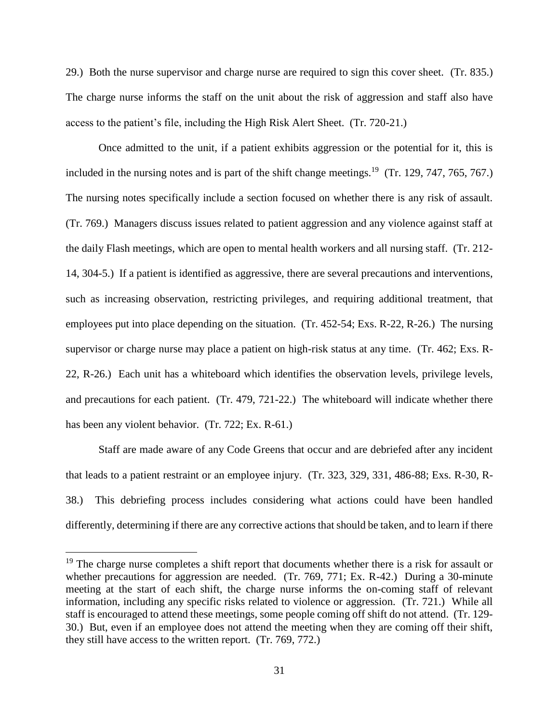29.) Both the nurse supervisor and charge nurse are required to sign this cover sheet. (Tr. 835.) The charge nurse informs the staff on the unit about the risk of aggression and staff also have access to the patient's file, including the High Risk Alert Sheet. (Tr. 720-21.)

Once admitted to the unit, if a patient exhibits aggression or the potential for it, this is included in the nursing notes and is part of the shift change meetings.<sup>19</sup> (Tr. 129, 747, 765, 767.) The nursing notes specifically include a section focused on whether there is any risk of assault. (Tr. 769.) Managers discuss issues related to patient aggression and any violence against staff at the daily Flash meetings, which are open to mental health workers and all nursing staff. (Tr. 212- 14, 304-5.) If a patient is identified as aggressive, there are several precautions and interventions, such as increasing observation, restricting privileges, and requiring additional treatment, that employees put into place depending on the situation. (Tr. 452-54; Exs. R-22, R-26.) The nursing supervisor or charge nurse may place a patient on high-risk status at any time. (Tr. 462; Exs. R-22, R-26.) Each unit has a whiteboard which identifies the observation levels, privilege levels, and precautions for each patient. (Tr. 479, 721-22.) The whiteboard will indicate whether there has been any violent behavior. (Tr. 722; Ex. R-61.)

Staff are made aware of any Code Greens that occur and are debriefed after any incident that leads to a patient restraint or an employee injury. (Tr. 323, 329, 331, 486-88; Exs. R-30, R-38.) This debriefing process includes considering what actions could have been handled differently, determining if there are any corrective actions that should be taken, and to learn if there

<sup>&</sup>lt;sup>19</sup> The charge nurse completes a shift report that documents whether there is a risk for assault or whether precautions for aggression are needed. (Tr. 769, 771; Ex. R-42.) During a 30-minute meeting at the start of each shift, the charge nurse informs the on-coming staff of relevant information, including any specific risks related to violence or aggression. (Tr. 721.) While all staff is encouraged to attend these meetings, some people coming off shift do not attend. (Tr. 129- 30.) But, even if an employee does not attend the meeting when they are coming off their shift, they still have access to the written report. (Tr. 769, 772.)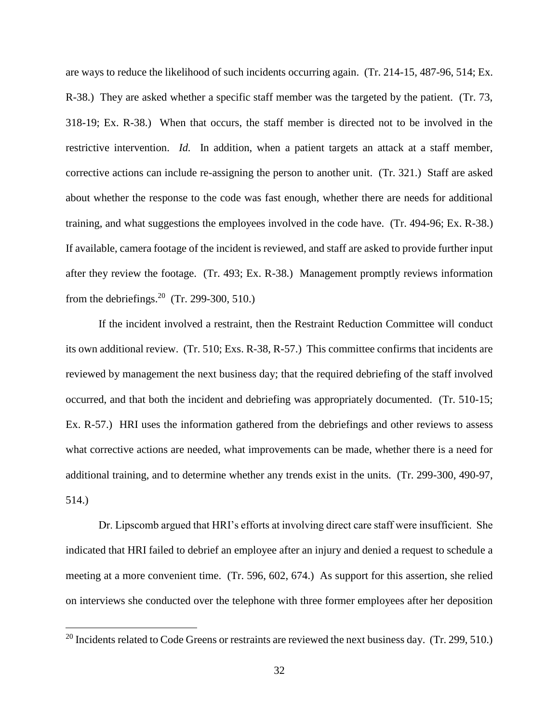are ways to reduce the likelihood of such incidents occurring again. (Tr. 214-15, 487-96, 514; Ex. R-38.) They are asked whether a specific staff member was the targeted by the patient. (Tr. 73, 318-19; Ex. R-38.) When that occurs, the staff member is directed not to be involved in the restrictive intervention. *Id.* In addition, when a patient targets an attack at a staff member, corrective actions can include re-assigning the person to another unit. (Tr. 321.) Staff are asked about whether the response to the code was fast enough, whether there are needs for additional training, and what suggestions the employees involved in the code have. (Tr. 494-96; Ex. R-38.) If available, camera footage of the incident is reviewed, and staff are asked to provide further input after they review the footage. (Tr. 493; Ex. R-38.) Management promptly reviews information from the debriefings.<sup>20</sup> (Tr. 299-300, 510.)

If the incident involved a restraint, then the Restraint Reduction Committee will conduct its own additional review. (Tr. 510; Exs. R-38, R-57.) This committee confirms that incidents are reviewed by management the next business day; that the required debriefing of the staff involved occurred, and that both the incident and debriefing was appropriately documented. (Tr. 510-15; Ex. R-57.) HRI uses the information gathered from the debriefings and other reviews to assess what corrective actions are needed, what improvements can be made, whether there is a need for additional training, and to determine whether any trends exist in the units. (Tr. 299-300, 490-97, 514.)

Dr. Lipscomb argued that HRI's efforts at involving direct care staff were insufficient. She indicated that HRI failed to debrief an employee after an injury and denied a request to schedule a meeting at a more convenient time. (Tr. 596, 602, 674.) As support for this assertion, she relied on interviews she conducted over the telephone with three former employees after her deposition

 $20$  Incidents related to Code Greens or restraints are reviewed the next business day. (Tr. 299, 510.)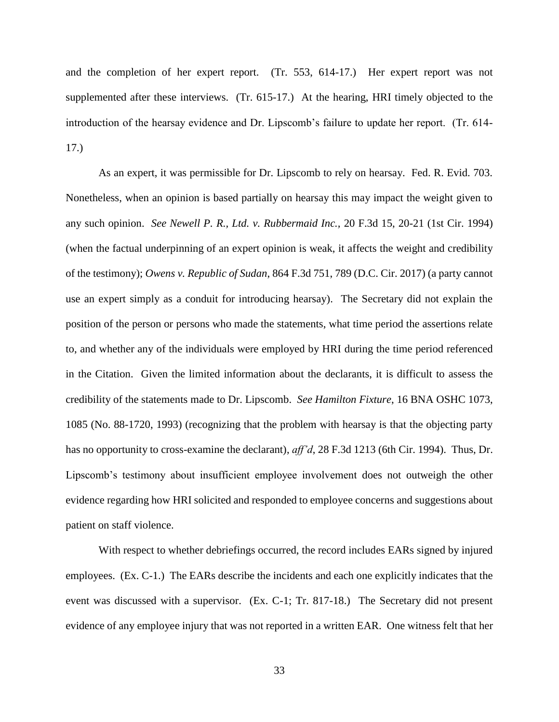and the completion of her expert report. (Tr. 553, 614-17.) Her expert report was not supplemented after these interviews. (Tr. 615-17.) At the hearing, HRI timely objected to the introduction of the hearsay evidence and Dr. Lipscomb's failure to update her report. (Tr. 614- 17.)

As an expert, it was permissible for Dr. Lipscomb to rely on hearsay. Fed. R. Evid. 703. Nonetheless, when an opinion is based partially on hearsay this may impact the weight given to any such opinion. *See Newell P. R., Ltd. v. Rubbermaid Inc.,* 20 F.3d 15, 20-21 (1st Cir. 1994) (when the factual underpinning of an expert opinion is weak, it affects the weight and credibility of the testimony); *Owens v. Republic of Sudan*, 864 F.3d 751, 789 (D.C. Cir. 2017) (a party cannot use an expert simply as a conduit for introducing hearsay). The Secretary did not explain the position of the person or persons who made the statements, what time period the assertions relate to, and whether any of the individuals were employed by HRI during the time period referenced in the Citation. Given the limited information about the declarants, it is difficult to assess the credibility of the statements made to Dr. Lipscomb. *See Hamilton Fixture*, 16 BNA OSHC 1073, 1085 (No. 88-1720, 1993) (recognizing that the problem with hearsay is that the objecting party has no opportunity to cross-examine the declarant), *aff'd*, 28 F.3d 1213 (6th Cir. 1994). Thus, Dr. Lipscomb's testimony about insufficient employee involvement does not outweigh the other evidence regarding how HRI solicited and responded to employee concerns and suggestions about patient on staff violence.

With respect to whether debriefings occurred, the record includes EARs signed by injured employees. (Ex. C-1.) The EARs describe the incidents and each one explicitly indicates that the event was discussed with a supervisor. (Ex. C-1; Tr. 817-18.) The Secretary did not present evidence of any employee injury that was not reported in a written EAR. One witness felt that her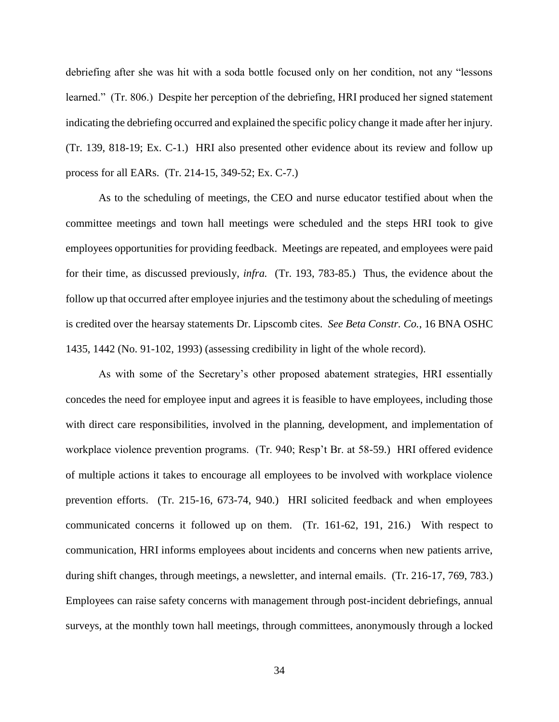debriefing after she was hit with a soda bottle focused only on her condition, not any "lessons learned." (Tr. 806.) Despite her perception of the debriefing, HRI produced her signed statement indicating the debriefing occurred and explained the specific policy change it made after her injury. (Tr. 139, 818-19; Ex. C-1.) HRI also presented other evidence about its review and follow up process for all EARs. (Tr. 214-15, 349-52; Ex. C-7.)

As to the scheduling of meetings, the CEO and nurse educator testified about when the committee meetings and town hall meetings were scheduled and the steps HRI took to give employees opportunities for providing feedback. Meetings are repeated, and employees were paid for their time, as discussed previously, *infra.* (Tr. 193, 783-85.) Thus, the evidence about the follow up that occurred after employee injuries and the testimony about the scheduling of meetings is credited over the hearsay statements Dr. Lipscomb cites. *See Beta Constr. Co.*, 16 BNA OSHC 1435, 1442 (No. 91-102, 1993) (assessing credibility in light of the whole record).

As with some of the Secretary's other proposed abatement strategies, HRI essentially concedes the need for employee input and agrees it is feasible to have employees, including those with direct care responsibilities, involved in the planning, development, and implementation of workplace violence prevention programs. (Tr. 940; Resp't Br. at 58-59.) HRI offered evidence of multiple actions it takes to encourage all employees to be involved with workplace violence prevention efforts. (Tr. 215-16, 673-74, 940.) HRI solicited feedback and when employees communicated concerns it followed up on them. (Tr. 161-62, 191, 216.) With respect to communication, HRI informs employees about incidents and concerns when new patients arrive, during shift changes, through meetings, a newsletter, and internal emails. (Tr. 216-17, 769, 783.) Employees can raise safety concerns with management through post-incident debriefings, annual surveys, at the monthly town hall meetings, through committees, anonymously through a locked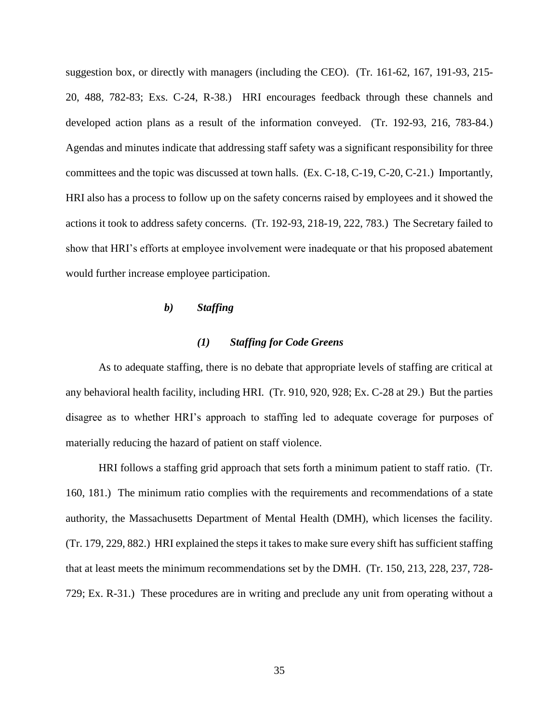suggestion box, or directly with managers (including the CEO). (Tr. 161-62, 167, 191-93, 215- 20, 488, 782-83; Exs. C-24, R-38.) HRI encourages feedback through these channels and developed action plans as a result of the information conveyed. (Tr. 192-93, 216, 783-84.) Agendas and minutes indicate that addressing staff safety was a significant responsibility for three committees and the topic was discussed at town halls. (Ex. C-18, C-19, C-20, C-21.) Importantly, HRI also has a process to follow up on the safety concerns raised by employees and it showed the actions it took to address safety concerns. (Tr. 192-93, 218-19, 222, 783.) The Secretary failed to show that HRI's efforts at employee involvement were inadequate or that his proposed abatement would further increase employee participation.

## *b) Staffing*

## *(1) Staffing for Code Greens*

As to adequate staffing, there is no debate that appropriate levels of staffing are critical at any behavioral health facility, including HRI. (Tr. 910, 920, 928; Ex. C-28 at 29.) But the parties disagree as to whether HRI's approach to staffing led to adequate coverage for purposes of materially reducing the hazard of patient on staff violence.

HRI follows a staffing grid approach that sets forth a minimum patient to staff ratio. (Tr. 160, 181.) The minimum ratio complies with the requirements and recommendations of a state authority, the Massachusetts Department of Mental Health (DMH), which licenses the facility. (Tr. 179, 229, 882.) HRI explained the steps it takes to make sure every shift has sufficient staffing that at least meets the minimum recommendations set by the DMH. (Tr. 150, 213, 228, 237, 728- 729; Ex. R-31.) These procedures are in writing and preclude any unit from operating without a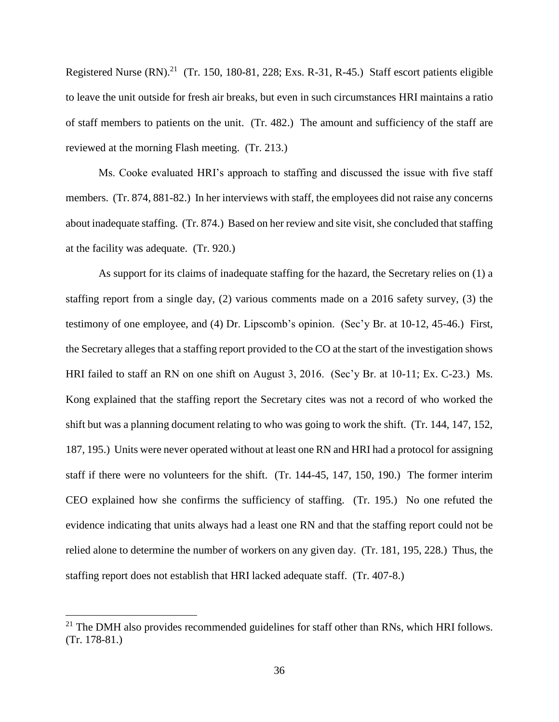Registered Nurse  $(RN)$ .<sup>21</sup> (Tr. 150, 180-81, 228; Exs. R-31, R-45.) Staff escort patients eligible to leave the unit outside for fresh air breaks, but even in such circumstances HRI maintains a ratio of staff members to patients on the unit. (Tr. 482.) The amount and sufficiency of the staff are reviewed at the morning Flash meeting. (Tr. 213.)

Ms. Cooke evaluated HRI's approach to staffing and discussed the issue with five staff members. (Tr. 874, 881-82.) In her interviews with staff, the employees did not raise any concerns about inadequate staffing. (Tr. 874.) Based on her review and site visit, she concluded that staffing at the facility was adequate. (Tr. 920.)

As support for its claims of inadequate staffing for the hazard, the Secretary relies on (1) a staffing report from a single day, (2) various comments made on a 2016 safety survey, (3) the testimony of one employee, and (4) Dr. Lipscomb's opinion. (Sec'y Br. at 10-12, 45-46.) First, the Secretary alleges that a staffing report provided to the CO at the start of the investigation shows HRI failed to staff an RN on one shift on August 3, 2016. (Sec'y Br. at 10-11; Ex. C-23.) Ms. Kong explained that the staffing report the Secretary cites was not a record of who worked the shift but was a planning document relating to who was going to work the shift. (Tr. 144, 147, 152, 187, 195.) Units were never operated without at least one RN and HRI had a protocol for assigning staff if there were no volunteers for the shift. (Tr. 144-45, 147, 150, 190.) The former interim CEO explained how she confirms the sufficiency of staffing. (Tr. 195.) No one refuted the evidence indicating that units always had a least one RN and that the staffing report could not be relied alone to determine the number of workers on any given day. (Tr. 181, 195, 228.) Thus, the staffing report does not establish that HRI lacked adequate staff. (Tr. 407-8.)

<sup>&</sup>lt;sup>21</sup> The DMH also provides recommended guidelines for staff other than RNs, which HRI follows. (Tr. 178-81.)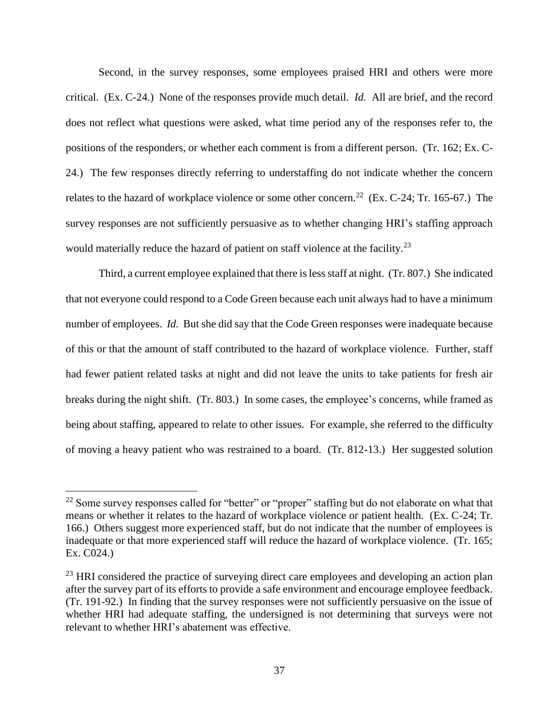Second, in the survey responses, some employees praised HRI and others were more critical. (Ex. C-24.) None of the responses provide much detail. *Id.* All are brief, and the record does not reflect what questions were asked, what time period any of the responses refer to, the positions of the responders, or whether each comment is from a different person. (Tr. 162; Ex. C-24.) The few responses directly referring to understaffing do not indicate whether the concern relates to the hazard of workplace violence or some other concern.<sup>22</sup> (Ex. C-24; Tr. 165-67.) The survey responses are not sufficiently persuasive as to whether changing HRI's staffing approach would materially reduce the hazard of patient on staff violence at the facility.<sup>23</sup>

Third, a current employee explained that there is less staff at night. (Tr. 807.) She indicated that not everyone could respond to a Code Green because each unit always had to have a minimum number of employees. *Id.* But she did say that the Code Green responses were inadequate because of this or that the amount of staff contributed to the hazard of workplace violence. Further, staff had fewer patient related tasks at night and did not leave the units to take patients for fresh air breaks during the night shift. (Tr. 803.) In some cases, the employee's concerns, while framed as being about staffing, appeared to relate to other issues. For example, she referred to the difficulty of moving a heavy patient who was restrained to a board. (Tr. 812-13.) Her suggested solution

 $22$  Some survey responses called for "better" or "proper" staffing but do not elaborate on what that means or whether it relates to the hazard of workplace violence or patient health. (Ex. C-24; Tr. 166.) Others suggest more experienced staff, but do not indicate that the number of employees is inadequate or that more experienced staff will reduce the hazard of workplace violence. (Tr. 165; Ex. C024.)

 $^{23}$  HRI considered the practice of surveying direct care employees and developing an action plan after the survey part of its efforts to provide a safe environment and encourage employee feedback. (Tr. 191-92.) In finding that the survey responses were not sufficiently persuasive on the issue of whether HRI had adequate staffing, the undersigned is not determining that surveys were not relevant to whether HRI's abatement was effective.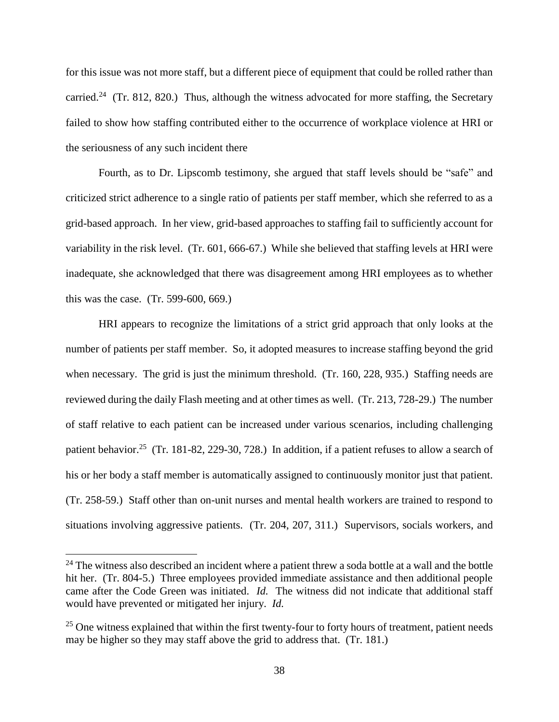for this issue was not more staff, but a different piece of equipment that could be rolled rather than carried.<sup>24</sup> (Tr. 812, 820.) Thus, although the witness advocated for more staffing, the Secretary failed to show how staffing contributed either to the occurrence of workplace violence at HRI or the seriousness of any such incident there

Fourth, as to Dr. Lipscomb testimony, she argued that staff levels should be "safe" and criticized strict adherence to a single ratio of patients per staff member, which she referred to as a grid-based approach. In her view, grid-based approaches to staffing fail to sufficiently account for variability in the risk level. (Tr. 601, 666-67.) While she believed that staffing levels at HRI were inadequate, she acknowledged that there was disagreement among HRI employees as to whether this was the case. (Tr. 599-600, 669.)

HRI appears to recognize the limitations of a strict grid approach that only looks at the number of patients per staff member. So, it adopted measures to increase staffing beyond the grid when necessary. The grid is just the minimum threshold. (Tr. 160, 228, 935.) Staffing needs are reviewed during the daily Flash meeting and at other times as well. (Tr. 213, 728-29.) The number of staff relative to each patient can be increased under various scenarios, including challenging patient behavior.<sup>25</sup> (Tr. 181-82, 229-30, 728.) In addition, if a patient refuses to allow a search of his or her body a staff member is automatically assigned to continuously monitor just that patient. (Tr. 258-59.) Staff other than on-unit nurses and mental health workers are trained to respond to situations involving aggressive patients. (Tr. 204, 207, 311.) Supervisors, socials workers, and

<sup>&</sup>lt;sup>24</sup> The witness also described an incident where a patient threw a soda bottle at a wall and the bottle hit her. (Tr. 804-5.) Three employees provided immediate assistance and then additional people came after the Code Green was initiated. *Id.* The witness did not indicate that additional staff would have prevented or mitigated her injury. *Id.* 

 $25$  One witness explained that within the first twenty-four to forty hours of treatment, patient needs may be higher so they may staff above the grid to address that. (Tr. 181.)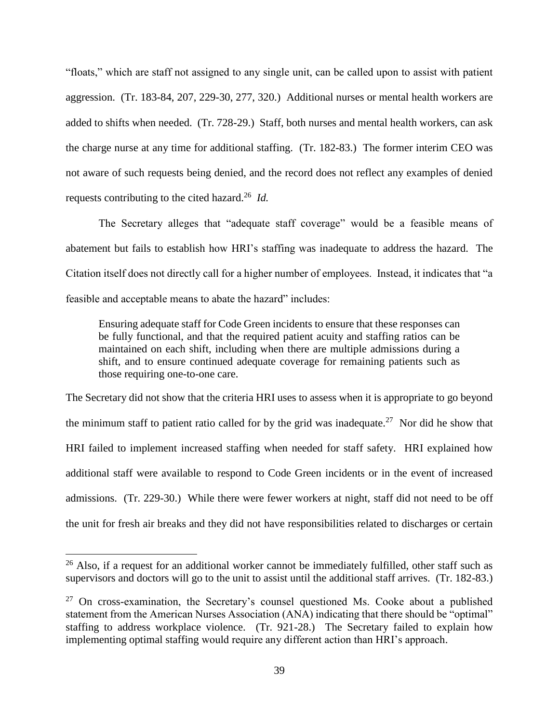"floats," which are staff not assigned to any single unit, can be called upon to assist with patient aggression. (Tr. 183-84, 207, 229-30, 277, 320.) Additional nurses or mental health workers are added to shifts when needed. (Tr. 728-29.) Staff, both nurses and mental health workers, can ask the charge nurse at any time for additional staffing. (Tr. 182-83.) The former interim CEO was not aware of such requests being denied, and the record does not reflect any examples of denied requests contributing to the cited hazard. 26 *Id.*

The Secretary alleges that "adequate staff coverage" would be a feasible means of abatement but fails to establish how HRI's staffing was inadequate to address the hazard. The Citation itself does not directly call for a higher number of employees. Instead, it indicates that "a feasible and acceptable means to abate the hazard" includes:

Ensuring adequate staff for Code Green incidents to ensure that these responses can be fully functional, and that the required patient acuity and staffing ratios can be maintained on each shift, including when there are multiple admissions during a shift, and to ensure continued adequate coverage for remaining patients such as those requiring one-to-one care.

The Secretary did not show that the criteria HRI uses to assess when it is appropriate to go beyond the minimum staff to patient ratio called for by the grid was inadequate.<sup>27</sup> Nor did he show that HRI failed to implement increased staffing when needed for staff safety. HRI explained how additional staff were available to respond to Code Green incidents or in the event of increased admissions. (Tr. 229-30.) While there were fewer workers at night, staff did not need to be off the unit for fresh air breaks and they did not have responsibilities related to discharges or certain

<sup>&</sup>lt;sup>26</sup> Also, if a request for an additional worker cannot be immediately fulfilled, other staff such as supervisors and doctors will go to the unit to assist until the additional staff arrives. (Tr. 182-83.)

 $27$  On cross-examination, the Secretary's counsel questioned Ms. Cooke about a published statement from the American Nurses Association (ANA) indicating that there should be "optimal" staffing to address workplace violence. (Tr. 921-28.) The Secretary failed to explain how implementing optimal staffing would require any different action than HRI's approach.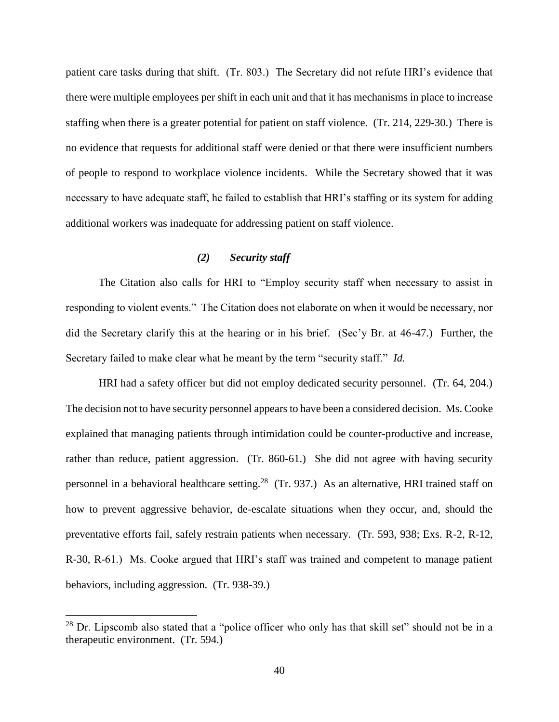patient care tasks during that shift. (Tr. 803.) The Secretary did not refute HRI's evidence that there were multiple employees per shift in each unit and that it has mechanisms in place to increase staffing when there is a greater potential for patient on staff violence. (Tr. 214, 229-30.) There is no evidence that requests for additional staff were denied or that there were insufficient numbers of people to respond to workplace violence incidents. While the Secretary showed that it was necessary to have adequate staff, he failed to establish that HRI's staffing or its system for adding additional workers was inadequate for addressing patient on staff violence.

## *(2) Security staff*

The Citation also calls for HRI to "Employ security staff when necessary to assist in responding to violent events." The Citation does not elaborate on when it would be necessary, nor did the Secretary clarify this at the hearing or in his brief. (Sec'y Br. at 46-47.) Further, the Secretary failed to make clear what he meant by the term "security staff." *Id.* 

HRI had a safety officer but did not employ dedicated security personnel. (Tr. 64, 204.) The decision not to have security personnel appears to have been a considered decision. Ms. Cooke explained that managing patients through intimidation could be counter-productive and increase, rather than reduce, patient aggression. (Tr. 860-61.) She did not agree with having security personnel in a behavioral healthcare setting.<sup>28</sup> (Tr. 937.) As an alternative, HRI trained staff on how to prevent aggressive behavior, de-escalate situations when they occur, and, should the preventative efforts fail, safely restrain patients when necessary. (Tr. 593, 938; Exs. R-2, R-12, R-30, R-61.) Ms. Cooke argued that HRI's staff was trained and competent to manage patient behaviors, including aggression. (Tr. 938-39.)

 $28$  Dr. Lipscomb also stated that a "police officer who only has that skill set" should not be in a therapeutic environment. (Tr. 594.)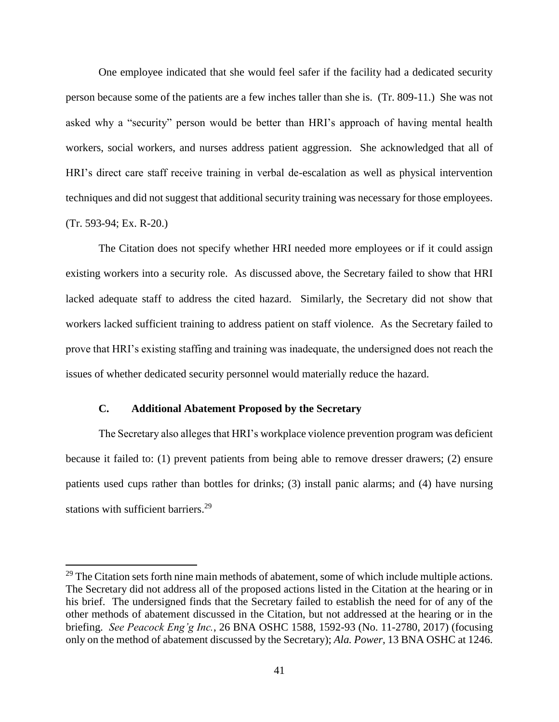One employee indicated that she would feel safer if the facility had a dedicated security person because some of the patients are a few inches taller than she is. (Tr. 809-11.) She was not asked why a "security" person would be better than HRI's approach of having mental health workers, social workers, and nurses address patient aggression. She acknowledged that all of HRI's direct care staff receive training in verbal de-escalation as well as physical intervention techniques and did not suggest that additional security training was necessary for those employees. (Tr. 593-94; Ex. R-20.)

The Citation does not specify whether HRI needed more employees or if it could assign existing workers into a security role. As discussed above, the Secretary failed to show that HRI lacked adequate staff to address the cited hazard. Similarly, the Secretary did not show that workers lacked sufficient training to address patient on staff violence. As the Secretary failed to prove that HRI's existing staffing and training was inadequate, the undersigned does not reach the issues of whether dedicated security personnel would materially reduce the hazard.

## **C. Additional Abatement Proposed by the Secretary**

 $\overline{a}$ 

The Secretary also alleges that HRI's workplace violence prevention program was deficient because it failed to: (1) prevent patients from being able to remove dresser drawers; (2) ensure patients used cups rather than bottles for drinks; (3) install panic alarms; and (4) have nursing stations with sufficient barriers.<sup>29</sup>

 $29$  The Citation sets forth nine main methods of abatement, some of which include multiple actions. The Secretary did not address all of the proposed actions listed in the Citation at the hearing or in his brief. The undersigned finds that the Secretary failed to establish the need for of any of the other methods of abatement discussed in the Citation, but not addressed at the hearing or in the briefing. *See Peacock Eng'g Inc.*, 26 BNA OSHC 1588, 1592-93 (No. 11-2780, 2017) (focusing only on the method of abatement discussed by the Secretary); *Ala. Power,* 13 BNA OSHC at 1246.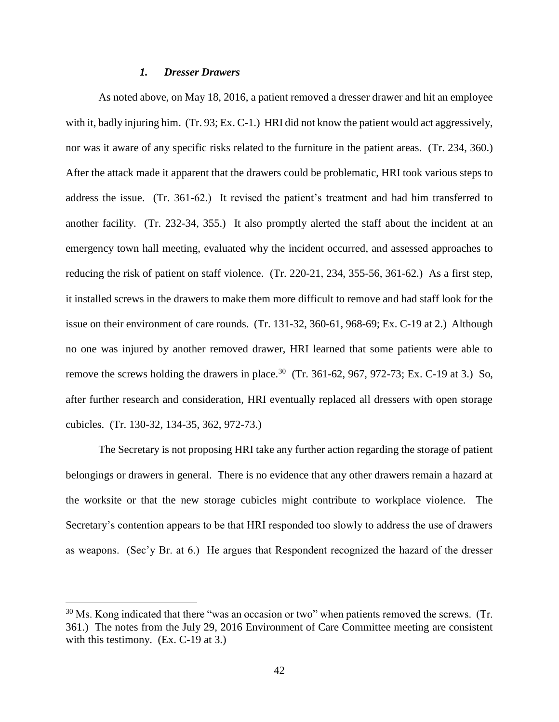#### *1. Dresser Drawers*

As noted above, on May 18, 2016, a patient removed a dresser drawer and hit an employee with it, badly injuring him. (Tr. 93; Ex. C-1.) HRI did not know the patient would act aggressively, nor was it aware of any specific risks related to the furniture in the patient areas. (Tr. 234, 360.) After the attack made it apparent that the drawers could be problematic, HRI took various steps to address the issue. (Tr. 361-62.) It revised the patient's treatment and had him transferred to another facility. (Tr. 232-34, 355.) It also promptly alerted the staff about the incident at an emergency town hall meeting, evaluated why the incident occurred, and assessed approaches to reducing the risk of patient on staff violence. (Tr. 220-21, 234, 355-56, 361-62.) As a first step, it installed screws in the drawers to make them more difficult to remove and had staff look for the issue on their environment of care rounds. (Tr. 131-32, 360-61, 968-69; Ex. C-19 at 2.) Although no one was injured by another removed drawer, HRI learned that some patients were able to remove the screws holding the drawers in place.<sup>30</sup> (Tr. 361-62, 967, 972-73; Ex. C-19 at 3.) So, after further research and consideration, HRI eventually replaced all dressers with open storage cubicles. (Tr. 130-32, 134-35, 362, 972-73.)

The Secretary is not proposing HRI take any further action regarding the storage of patient belongings or drawers in general. There is no evidence that any other drawers remain a hazard at the worksite or that the new storage cubicles might contribute to workplace violence. The Secretary's contention appears to be that HRI responded too slowly to address the use of drawers as weapons. (Sec'y Br. at 6.) He argues that Respondent recognized the hazard of the dresser

 $30$  Ms. Kong indicated that there "was an occasion or two" when patients removed the screws. (Tr. 361.) The notes from the July 29, 2016 Environment of Care Committee meeting are consistent with this testimony. (Ex. C-19 at 3.)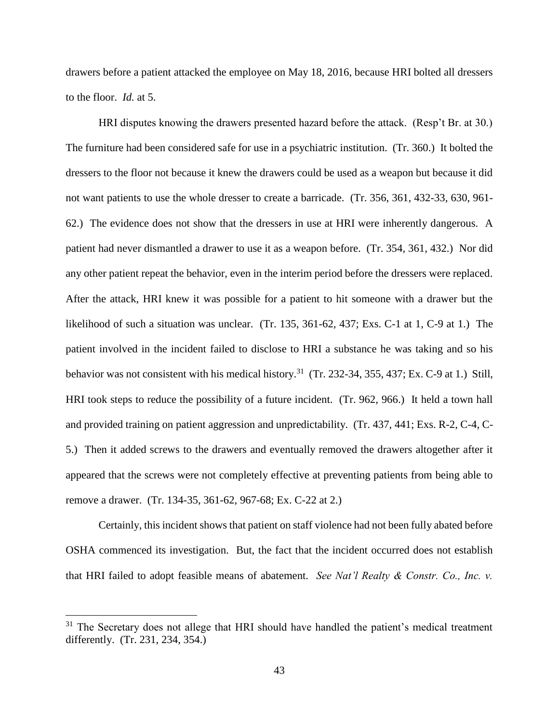drawers before a patient attacked the employee on May 18, 2016, because HRI bolted all dressers to the floor. *Id.* at 5.

HRI disputes knowing the drawers presented hazard before the attack. (Resp't Br. at 30.) The furniture had been considered safe for use in a psychiatric institution. (Tr. 360.) It bolted the dressers to the floor not because it knew the drawers could be used as a weapon but because it did not want patients to use the whole dresser to create a barricade. (Tr. 356, 361, 432-33, 630, 961- 62.) The evidence does not show that the dressers in use at HRI were inherently dangerous. A patient had never dismantled a drawer to use it as a weapon before. (Tr. 354, 361, 432.) Nor did any other patient repeat the behavior, even in the interim period before the dressers were replaced. After the attack, HRI knew it was possible for a patient to hit someone with a drawer but the likelihood of such a situation was unclear. (Tr. 135, 361-62, 437; Exs. C-1 at 1, C-9 at 1.) The patient involved in the incident failed to disclose to HRI a substance he was taking and so his behavior was not consistent with his medical history.<sup>31</sup> (Tr. 232-34, 355, 437; Ex. C-9 at 1.) Still, HRI took steps to reduce the possibility of a future incident. (Tr. 962, 966.) It held a town hall and provided training on patient aggression and unpredictability. (Tr. 437, 441; Exs. R-2, C-4, C-5.) Then it added screws to the drawers and eventually removed the drawers altogether after it appeared that the screws were not completely effective at preventing patients from being able to remove a drawer. (Tr. 134-35, 361-62, 967-68; Ex. C-22 at 2.)

Certainly, this incident shows that patient on staff violence had not been fully abated before OSHA commenced its investigation. But, the fact that the incident occurred does not establish that HRI failed to adopt feasible means of abatement. *See Nat'l Realty & Constr. Co., Inc. v.* 

 $31$  The Secretary does not allege that HRI should have handled the patient's medical treatment differently. (Tr. 231, 234, 354.)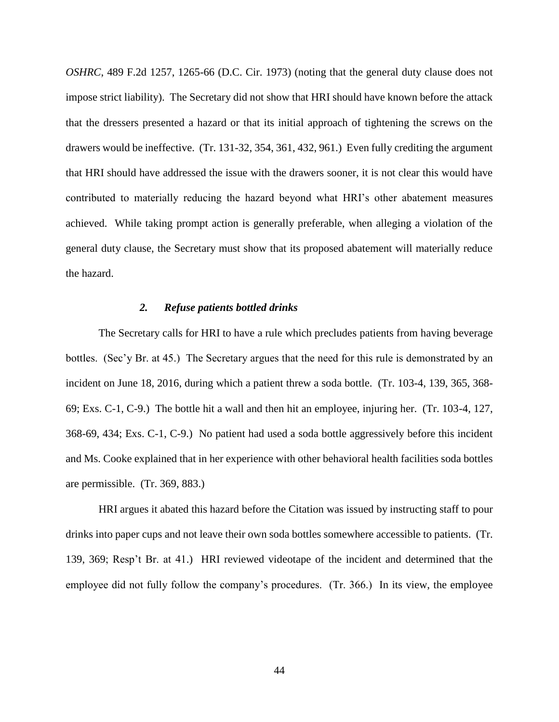*OSHRC*, 489 F.2d 1257, 1265-66 (D.C. Cir. 1973) (noting that the general duty clause does not impose strict liability). The Secretary did not show that HRI should have known before the attack that the dressers presented a hazard or that its initial approach of tightening the screws on the drawers would be ineffective. (Tr. 131-32, 354, 361, 432, 961.) Even fully crediting the argument that HRI should have addressed the issue with the drawers sooner, it is not clear this would have contributed to materially reducing the hazard beyond what HRI's other abatement measures achieved. While taking prompt action is generally preferable, when alleging a violation of the general duty clause, the Secretary must show that its proposed abatement will materially reduce the hazard.

#### *2. Refuse patients bottled drinks*

The Secretary calls for HRI to have a rule which precludes patients from having beverage bottles. (Sec'y Br. at 45.) The Secretary argues that the need for this rule is demonstrated by an incident on June 18, 2016, during which a patient threw a soda bottle. (Tr. 103-4, 139, 365, 368- 69; Exs. C-1, C-9.) The bottle hit a wall and then hit an employee, injuring her. (Tr. 103-4, 127, 368-69, 434; Exs. C-1, C-9.) No patient had used a soda bottle aggressively before this incident and Ms. Cooke explained that in her experience with other behavioral health facilities soda bottles are permissible. (Tr. 369, 883.)

HRI argues it abated this hazard before the Citation was issued by instructing staff to pour drinks into paper cups and not leave their own soda bottles somewhere accessible to patients. (Tr. 139, 369; Resp't Br. at 41.) HRI reviewed videotape of the incident and determined that the employee did not fully follow the company's procedures. (Tr. 366.) In its view, the employee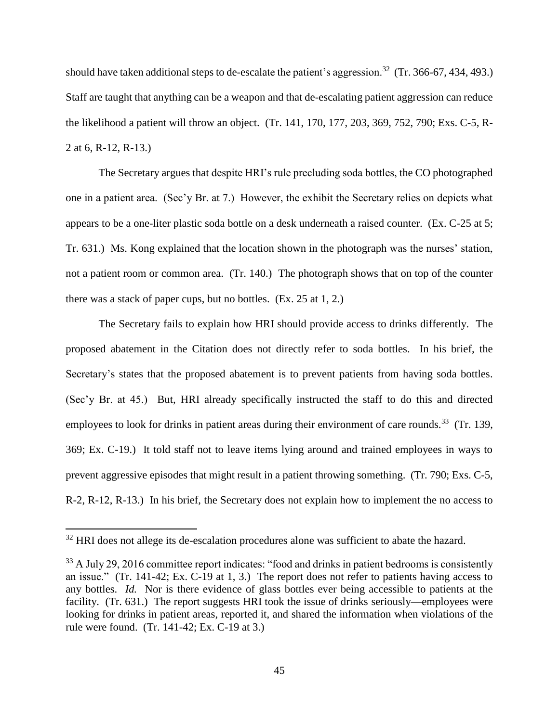should have taken additional steps to de-escalate the patient's aggression.<sup>32</sup> (Tr. 366-67, 434, 493.) Staff are taught that anything can be a weapon and that de-escalating patient aggression can reduce the likelihood a patient will throw an object. (Tr. 141, 170, 177, 203, 369, 752, 790; Exs. C-5, R-2 at 6, R-12, R-13.)

The Secretary argues that despite HRI's rule precluding soda bottles, the CO photographed one in a patient area. (Sec'y Br. at 7.) However, the exhibit the Secretary relies on depicts what appears to be a one-liter plastic soda bottle on a desk underneath a raised counter. (Ex. C-25 at 5; Tr. 631.) Ms. Kong explained that the location shown in the photograph was the nurses' station, not a patient room or common area. (Tr. 140.) The photograph shows that on top of the counter there was a stack of paper cups, but no bottles. (Ex. 25 at 1, 2.)

The Secretary fails to explain how HRI should provide access to drinks differently. The proposed abatement in the Citation does not directly refer to soda bottles. In his brief, the Secretary's states that the proposed abatement is to prevent patients from having soda bottles. (Sec'y Br. at 45.) But, HRI already specifically instructed the staff to do this and directed employees to look for drinks in patient areas during their environment of care rounds.<sup>33</sup> (Tr. 139, 369; Ex. C-19.) It told staff not to leave items lying around and trained employees in ways to prevent aggressive episodes that might result in a patient throwing something. (Tr. 790; Exs. C-5, R-2, R-12, R-13.) In his brief, the Secretary does not explain how to implement the no access to

<sup>&</sup>lt;sup>32</sup> HRI does not allege its de-escalation procedures alone was sufficient to abate the hazard.

<sup>&</sup>lt;sup>33</sup> A July 29, 2016 committee report indicates: "food and drinks in patient bedrooms is consistently an issue." (Tr. 141-42; Ex. C-19 at 1, 3.) The report does not refer to patients having access to any bottles. *Id.* Nor is there evidence of glass bottles ever being accessible to patients at the facility. (Tr. 631.) The report suggests HRI took the issue of drinks seriously—employees were looking for drinks in patient areas, reported it, and shared the information when violations of the rule were found. (Tr. 141-42; Ex. C-19 at 3.)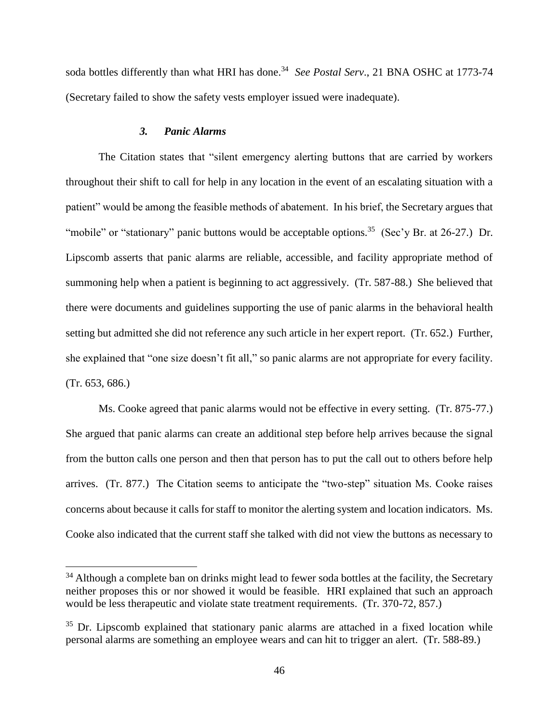soda bottles differently than what HRI has done.<sup>34</sup> See Postal Serv., 21 BNA OSHC at 1773-74 (Secretary failed to show the safety vests employer issued were inadequate).

## *3. Panic Alarms*

 $\overline{a}$ 

The Citation states that "silent emergency alerting buttons that are carried by workers throughout their shift to call for help in any location in the event of an escalating situation with a patient" would be among the feasible methods of abatement. In his brief, the Secretary argues that "mobile" or "stationary" panic buttons would be acceptable options.<sup>35</sup> (Sec'y Br. at 26-27.) Dr. Lipscomb asserts that panic alarms are reliable, accessible, and facility appropriate method of summoning help when a patient is beginning to act aggressively. (Tr. 587-88.) She believed that there were documents and guidelines supporting the use of panic alarms in the behavioral health setting but admitted she did not reference any such article in her expert report. (Tr. 652.) Further, she explained that "one size doesn't fit all," so panic alarms are not appropriate for every facility. (Tr. 653, 686.)

Ms. Cooke agreed that panic alarms would not be effective in every setting. (Tr. 875-77.) She argued that panic alarms can create an additional step before help arrives because the signal from the button calls one person and then that person has to put the call out to others before help arrives. (Tr. 877.) The Citation seems to anticipate the "two-step" situation Ms. Cooke raises concerns about because it calls for staff to monitor the alerting system and location indicators. Ms. Cooke also indicated that the current staff she talked with did not view the buttons as necessary to

<sup>&</sup>lt;sup>34</sup> Although a complete ban on drinks might lead to fewer soda bottles at the facility, the Secretary neither proposes this or nor showed it would be feasible. HRI explained that such an approach would be less therapeutic and violate state treatment requirements. (Tr. 370-72, 857.)

 $35$  Dr. Lipscomb explained that stationary panic alarms are attached in a fixed location while personal alarms are something an employee wears and can hit to trigger an alert. (Tr. 588-89.)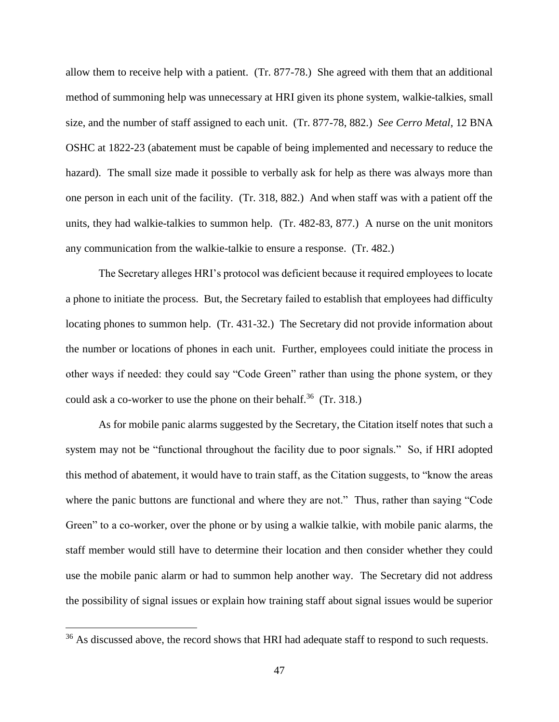allow them to receive help with a patient. (Tr. 877-78.) She agreed with them that an additional method of summoning help was unnecessary at HRI given its phone system, walkie-talkies, small size, and the number of staff assigned to each unit. (Tr. 877-78, 882.) *See Cerro Metal*, 12 BNA OSHC at 1822-23 (abatement must be capable of being implemented and necessary to reduce the hazard). The small size made it possible to verbally ask for help as there was always more than one person in each unit of the facility. (Tr. 318, 882.) And when staff was with a patient off the units, they had walkie-talkies to summon help. (Tr. 482-83, 877.) A nurse on the unit monitors any communication from the walkie-talkie to ensure a response. (Tr. 482.)

The Secretary alleges HRI's protocol was deficient because it required employees to locate a phone to initiate the process. But, the Secretary failed to establish that employees had difficulty locating phones to summon help. (Tr. 431-32.) The Secretary did not provide information about the number or locations of phones in each unit. Further, employees could initiate the process in other ways if needed: they could say "Code Green" rather than using the phone system, or they could ask a co-worker to use the phone on their behalf.<sup>36</sup> (Tr. 318.)

As for mobile panic alarms suggested by the Secretary, the Citation itself notes that such a system may not be "functional throughout the facility due to poor signals." So, if HRI adopted this method of abatement, it would have to train staff, as the Citation suggests, to "know the areas where the panic buttons are functional and where they are not." Thus, rather than saying "Code Green" to a co-worker, over the phone or by using a walkie talkie, with mobile panic alarms, the staff member would still have to determine their location and then consider whether they could use the mobile panic alarm or had to summon help another way. The Secretary did not address the possibility of signal issues or explain how training staff about signal issues would be superior

<sup>&</sup>lt;sup>36</sup> As discussed above, the record shows that HRI had adequate staff to respond to such requests.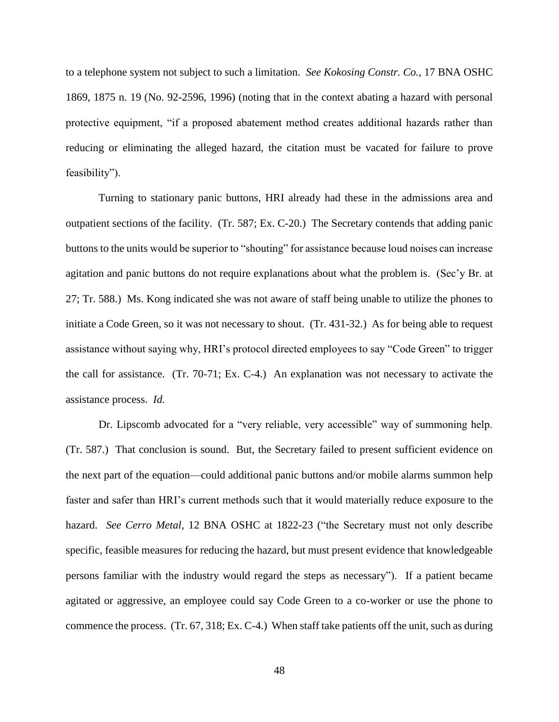to a telephone system not subject to such a limitation. *See Kokosing Constr. Co.,* 17 BNA OSHC 1869, 1875 n. 19 (No. 92-2596, 1996) (noting that in the context abating a hazard with personal protective equipment, "if a proposed abatement method creates additional hazards rather than reducing or eliminating the alleged hazard, the citation must be vacated for failure to prove feasibility").

Turning to stationary panic buttons, HRI already had these in the admissions area and outpatient sections of the facility. (Tr. 587; Ex. C-20.) The Secretary contends that adding panic buttons to the units would be superior to "shouting" for assistance because loud noises can increase agitation and panic buttons do not require explanations about what the problem is. (Sec'y Br. at 27; Tr. 588.) Ms. Kong indicated she was not aware of staff being unable to utilize the phones to initiate a Code Green, so it was not necessary to shout. (Tr. 431-32.) As for being able to request assistance without saying why, HRI's protocol directed employees to say "Code Green" to trigger the call for assistance. (Tr. 70-71; Ex. C-4.) An explanation was not necessary to activate the assistance process. *Id.*

Dr. Lipscomb advocated for a "very reliable, very accessible" way of summoning help. (Tr. 587.) That conclusion is sound. But, the Secretary failed to present sufficient evidence on the next part of the equation—could additional panic buttons and/or mobile alarms summon help faster and safer than HRI's current methods such that it would materially reduce exposure to the hazard. *See Cerro Metal*, 12 BNA OSHC at 1822-23 ("the Secretary must not only describe specific, feasible measures for reducing the hazard, but must present evidence that knowledgeable persons familiar with the industry would regard the steps as necessary"). If a patient became agitated or aggressive, an employee could say Code Green to a co-worker or use the phone to commence the process. (Tr. 67, 318; Ex. C-4.) When staff take patients off the unit, such as during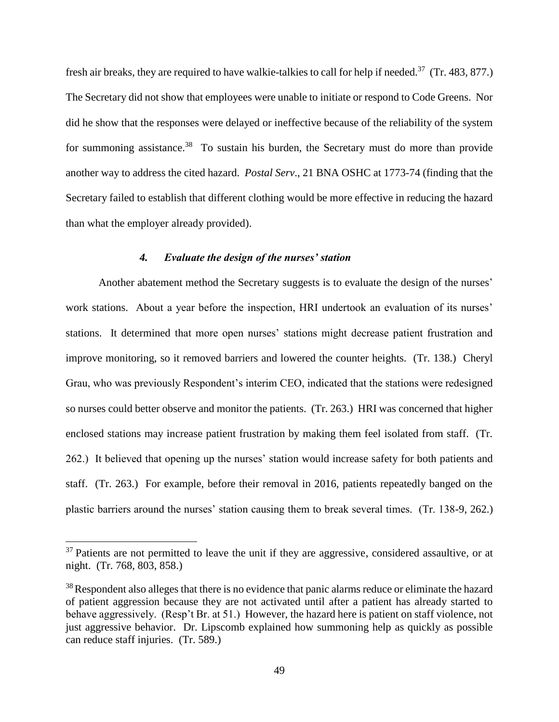fresh air breaks, they are required to have walkie-talkies to call for help if needed.<sup>37</sup> (Tr. 483, 877.) The Secretary did not show that employees were unable to initiate or respond to Code Greens. Nor did he show that the responses were delayed or ineffective because of the reliability of the system for summoning assistance.<sup>38</sup> To sustain his burden, the Secretary must do more than provide another way to address the cited hazard. *Postal Serv*., 21 BNA OSHC at 1773-74 (finding that the Secretary failed to establish that different clothing would be more effective in reducing the hazard than what the employer already provided).

## *4. Evaluate the design of the nurses' station*

Another abatement method the Secretary suggests is to evaluate the design of the nurses' work stations. About a year before the inspection, HRI undertook an evaluation of its nurses' stations. It determined that more open nurses' stations might decrease patient frustration and improve monitoring, so it removed barriers and lowered the counter heights. (Tr. 138.) Cheryl Grau, who was previously Respondent's interim CEO, indicated that the stations were redesigned so nurses could better observe and monitor the patients. (Tr. 263.) HRI was concerned that higher enclosed stations may increase patient frustration by making them feel isolated from staff. (Tr. 262.) It believed that opening up the nurses' station would increase safety for both patients and staff. (Tr. 263.) For example, before their removal in 2016, patients repeatedly banged on the plastic barriers around the nurses' station causing them to break several times. (Tr. 138-9, 262.)

 $37$  Patients are not permitted to leave the unit if they are aggressive, considered assaultive, or at night. (Tr. 768, 803, 858.)

<sup>&</sup>lt;sup>38</sup>Respondent also alleges that there is no evidence that panic alarms reduce or eliminate the hazard of patient aggression because they are not activated until after a patient has already started to behave aggressively. (Resp't Br. at 51.) However, the hazard here is patient on staff violence, not just aggressive behavior. Dr. Lipscomb explained how summoning help as quickly as possible can reduce staff injuries. (Tr. 589.)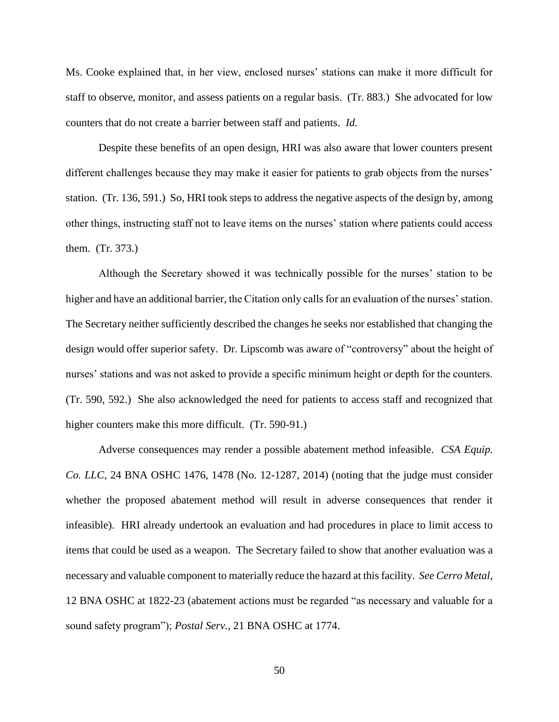Ms. Cooke explained that, in her view, enclosed nurses' stations can make it more difficult for staff to observe, monitor, and assess patients on a regular basis. (Tr. 883.) She advocated for low counters that do not create a barrier between staff and patients. *Id.*

Despite these benefits of an open design, HRI was also aware that lower counters present different challenges because they may make it easier for patients to grab objects from the nurses' station. (Tr. 136, 591.) So, HRI took steps to address the negative aspects of the design by, among other things, instructing staff not to leave items on the nurses' station where patients could access them. (Tr. 373.)

Although the Secretary showed it was technically possible for the nurses' station to be higher and have an additional barrier, the Citation only calls for an evaluation of the nurses' station. The Secretary neither sufficiently described the changes he seeks nor established that changing the design would offer superior safety. Dr. Lipscomb was aware of "controversy" about the height of nurses' stations and was not asked to provide a specific minimum height or depth for the counters. (Tr. 590, 592.) She also acknowledged the need for patients to access staff and recognized that higher counters make this more difficult. (Tr. 590-91.)

Adverse consequences may render a possible abatement method infeasible. *CSA Equip. Co. LLC,* 24 BNA OSHC 1476, 1478 (No. 12-1287, 2014) (noting that the judge must consider whether the proposed abatement method will result in adverse consequences that render it infeasible). HRI already undertook an evaluation and had procedures in place to limit access to items that could be used as a weapon. The Secretary failed to show that another evaluation was a necessary and valuable component to materially reduce the hazard at this facility. *See Cerro Metal*, 12 BNA OSHC at 1822-23 (abatement actions must be regarded "as necessary and valuable for a sound safety program"); *Postal Serv.*, 21 BNA OSHC at 1774.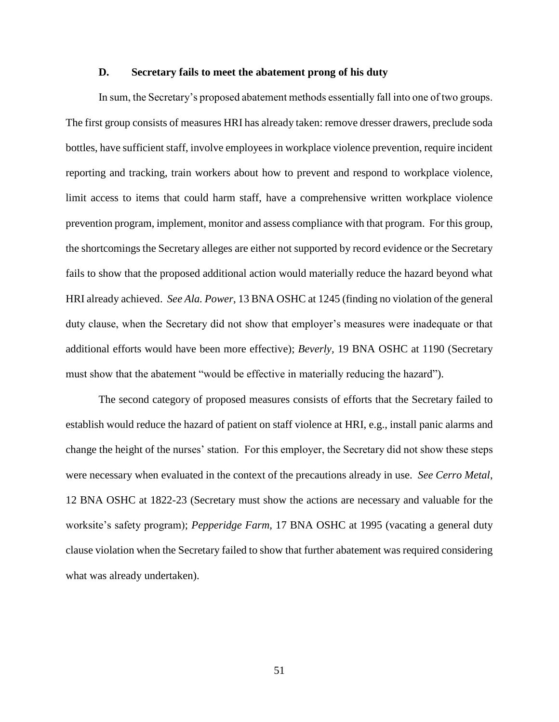#### **D. Secretary fails to meet the abatement prong of his duty**

In sum, the Secretary's proposed abatement methods essentially fall into one of two groups. The first group consists of measures HRI has already taken: remove dresser drawers, preclude soda bottles, have sufficient staff, involve employees in workplace violence prevention, require incident reporting and tracking, train workers about how to prevent and respond to workplace violence, limit access to items that could harm staff, have a comprehensive written workplace violence prevention program, implement, monitor and assess compliance with that program. For this group, the shortcomings the Secretary alleges are either not supported by record evidence or the Secretary fails to show that the proposed additional action would materially reduce the hazard beyond what HRI already achieved. *See Ala. Power*, 13 BNA OSHC at 1245 (finding no violation of the general duty clause, when the Secretary did not show that employer's measures were inadequate or that additional efforts would have been more effective); *Beverly,* 19 BNA OSHC at 1190 (Secretary must show that the abatement "would be effective in materially reducing the hazard").

The second category of proposed measures consists of efforts that the Secretary failed to establish would reduce the hazard of patient on staff violence at HRI, e.g., install panic alarms and change the height of the nurses' station. For this employer, the Secretary did not show these steps were necessary when evaluated in the context of the precautions already in use. *See Cerro Metal*, 12 BNA OSHC at 1822-23 (Secretary must show the actions are necessary and valuable for the worksite's safety program); *Pepperidge Farm,* 17 BNA OSHC at 1995 (vacating a general duty clause violation when the Secretary failed to show that further abatement was required considering what was already undertaken).